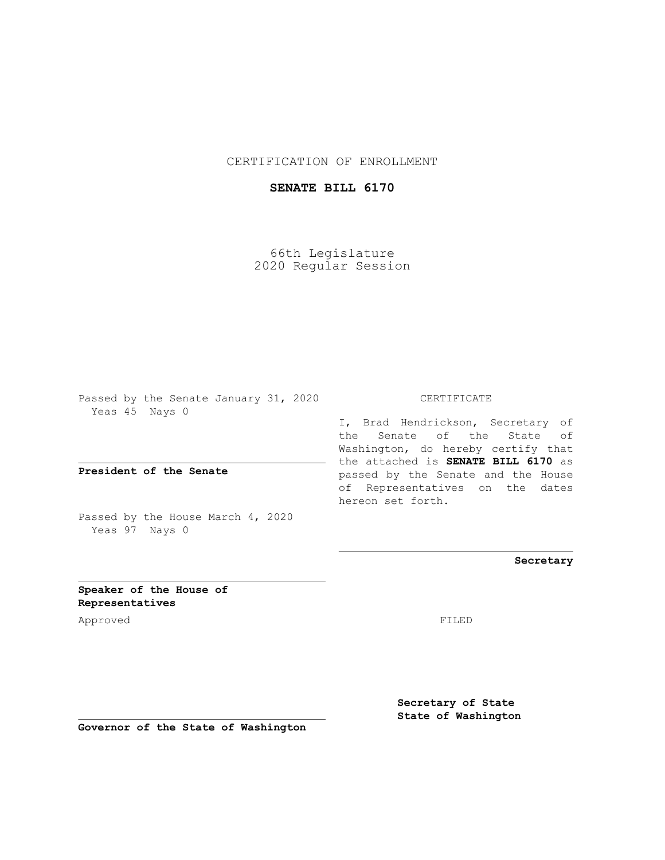#### CERTIFICATION OF ENROLLMENT

#### **SENATE BILL 6170**

66th Legislature 2020 Regular Session

Passed by the Senate January 31, 2020 Yeas 45 Nays 0

**President of the Senate**

Passed by the House March 4, 2020 Yeas 97 Nays 0

CERTIFICATE

I, Brad Hendrickson, Secretary of the Senate of the State of Washington, do hereby certify that the attached is **SENATE BILL 6170** as passed by the Senate and the House of Representatives on the dates hereon set forth.

**Secretary**

**Speaker of the House of Representatives**

Approved FILED

**Secretary of State State of Washington**

**Governor of the State of Washington**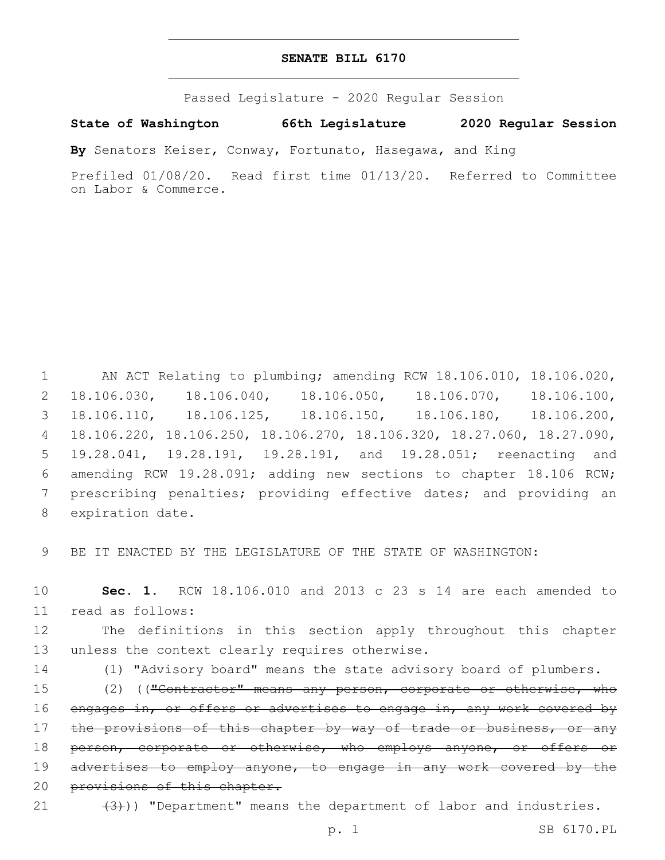#### **SENATE BILL 6170**

Passed Legislature - 2020 Regular Session

### **State of Washington 66th Legislature 2020 Regular Session**

**By** Senators Keiser, Conway, Fortunato, Hasegawa, and King

Prefiled 01/08/20. Read first time 01/13/20. Referred to Committee on Labor & Commerce.

 AN ACT Relating to plumbing; amending RCW 18.106.010, 18.106.020, 18.106.030, 18.106.040, 18.106.050, 18.106.070, 18.106.100, 18.106.110, 18.106.125, 18.106.150, 18.106.180, 18.106.200, 18.106.220, 18.106.250, 18.106.270, 18.106.320, 18.27.060, 18.27.090, 19.28.041, 19.28.191, 19.28.191, and 19.28.051; reenacting and amending RCW 19.28.091; adding new sections to chapter 18.106 RCW; prescribing penalties; providing effective dates; and providing an 8 expiration date.

9 BE IT ENACTED BY THE LEGISLATURE OF THE STATE OF WASHINGTON:

10 **Sec. 1.** RCW 18.106.010 and 2013 c 23 s 14 are each amended to 11 read as follows:

12 The definitions in this section apply throughout this chapter 13 unless the context clearly requires otherwise.

14 (1) "Advisory board" means the state advisory board of plumbers.

15 (2) (("Contractor" means any person, corporate or otherwise, who 16 engages in, or offers or advertises to engage in, any work covered by 17 the provisions of this chapter by way of trade or business, or any 18 person, corporate or otherwise, who employs anyone, or offers or 19 advertises to employ anyone, to engage in any work covered by the 20 provisions of this chapter.

21  $(3)$ )) "Department" means the department of labor and industries.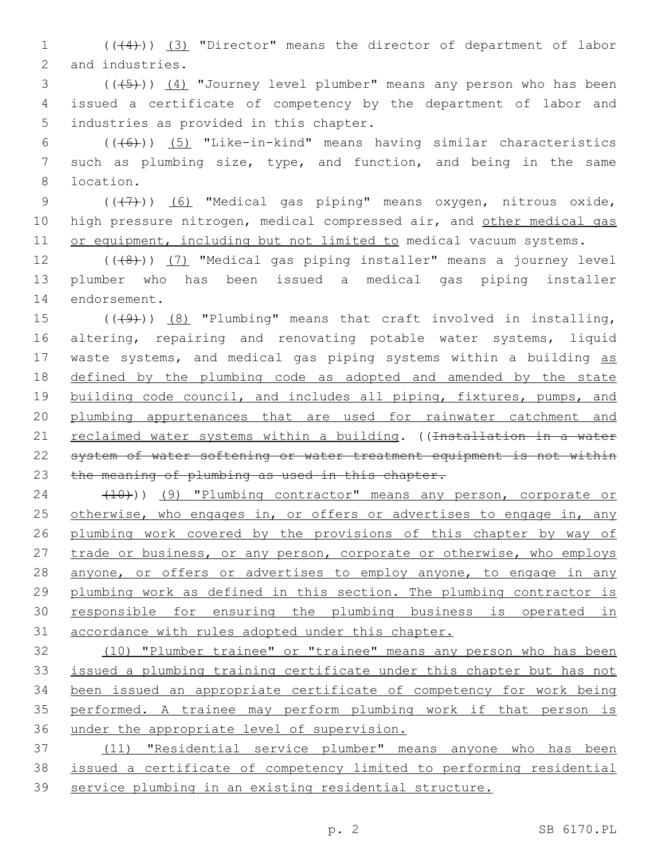1 ((+4))) (3) "Director" means the director of department of labor 2 and industries.

3 (((+5))) (4) "Journey level plumber" means any person who has been 4 issued a certificate of competency by the department of labor and 5 industries as provided in this chapter.

6  $((+6))$   $(5)$  "Like-in-kind" means having similar characteristics 7 such as plumbing size, type, and function, and being in the same location.8

9 (((7)) (6) "Medical gas piping" means oxygen, nitrous oxide, 10 high pressure nitrogen, medical compressed air, and other medical gas 11 or equipment, including but not limited to medical vacuum systems.

12 (((8)) (7) "Medical gas piping installer" means a journey level 13 plumber who has been issued a medical gas piping installer 14 endorsement.

15  $((49)$ )  $(8)$  "Plumbing" means that craft involved in installing, 16 altering, repairing and renovating potable water systems, liquid 17 waste systems, and medical gas piping systems within a building as 18 defined by the plumbing code as adopted and amended by the state 19 building code council, and includes all piping, fixtures, pumps, and 20 plumbing appurtenances that are used for rainwater catchment and 21 reclaimed water systems within a building. ((<del>Installation in a water</del> 22 system of water softening or water treatment equipment is not within 23 the meaning of plumbing as used in this chapter.

24 (10)) (9) "Plumbing contractor" means any person, corporate or 25 otherwise, who engages in, or offers or advertises to engage in, any 26 plumbing work covered by the provisions of this chapter by way of 27 trade or business, or any person, corporate or otherwise, who employs 28 anyone, or offers or advertises to employ anyone, to engage in any 29 plumbing work as defined in this section. The plumbing contractor is 30 responsible for ensuring the plumbing business is operated in 31 accordance with rules adopted under this chapter.

 (10) "Plumber trainee" or "trainee" means any person who has been issued a plumbing training certificate under this chapter but has not been issued an appropriate certificate of competency for work being performed. A trainee may perform plumbing work if that person is under the appropriate level of supervision.

37 (11) "Residential service plumber" means anyone who has been 38 issued a certificate of competency limited to performing residential 39 service plumbing in an existing residential structure.

p. 2 SB 6170.PL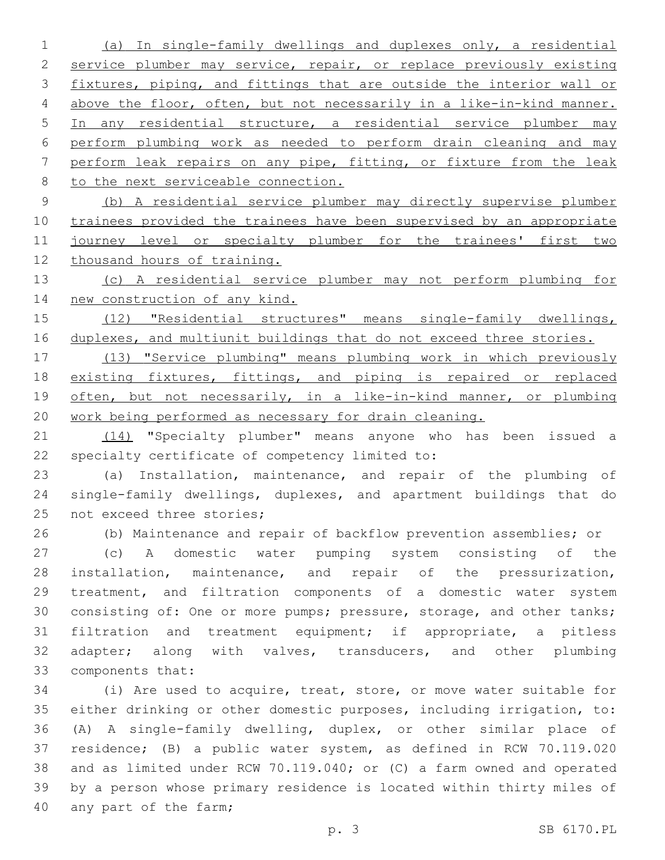(a) In single-family dwellings and duplexes only, a residential 2 service plumber may service, repair, or replace previously existing fixtures, piping, and fittings that are outside the interior wall or above the floor, often, but not necessarily in a like-in-kind manner. In any residential structure, a residential service plumber may perform plumbing work as needed to perform drain cleaning and may perform leak repairs on any pipe, fitting, or fixture from the leak 8 to the next serviceable connection.

 (b) A residential service plumber may directly supervise plumber trainees provided the trainees have been supervised by an appropriate 11 journey level or specialty plumber for the trainees' first two thousand hours of training.

 (c) A residential service plumber may not perform plumbing for new construction of any kind.

 (12) "Residential structures" means single-family dwellings, duplexes, and multiunit buildings that do not exceed three stories.

 (13) "Service plumbing" means plumbing work in which previously 18 existing fixtures, fittings, and piping is repaired or replaced 19 often, but not necessarily, in a like-in-kind manner, or plumbing work being performed as necessary for drain cleaning.

21 (14) "Specialty plumber" means anyone who has been issued a 22 specialty certificate of competency limited to:

 (a) Installation, maintenance, and repair of the plumbing of single-family dwellings, duplexes, and apartment buildings that do 25 not exceed three stories;

(b) Maintenance and repair of backflow prevention assemblies; or

 (c) A domestic water pumping system consisting of the installation, maintenance, and repair of the pressurization, treatment, and filtration components of a domestic water system consisting of: One or more pumps; pressure, storage, and other tanks; filtration and treatment equipment; if appropriate, a pitless 32 adapter; along with valves, transducers, and other plumbing 33 components that:

 (i) Are used to acquire, treat, store, or move water suitable for either drinking or other domestic purposes, including irrigation, to: (A) A single-family dwelling, duplex, or other similar place of residence; (B) a public water system, as defined in RCW 70.119.020 and as limited under RCW 70.119.040; or (C) a farm owned and operated by a person whose primary residence is located within thirty miles of 40 any part of the farm;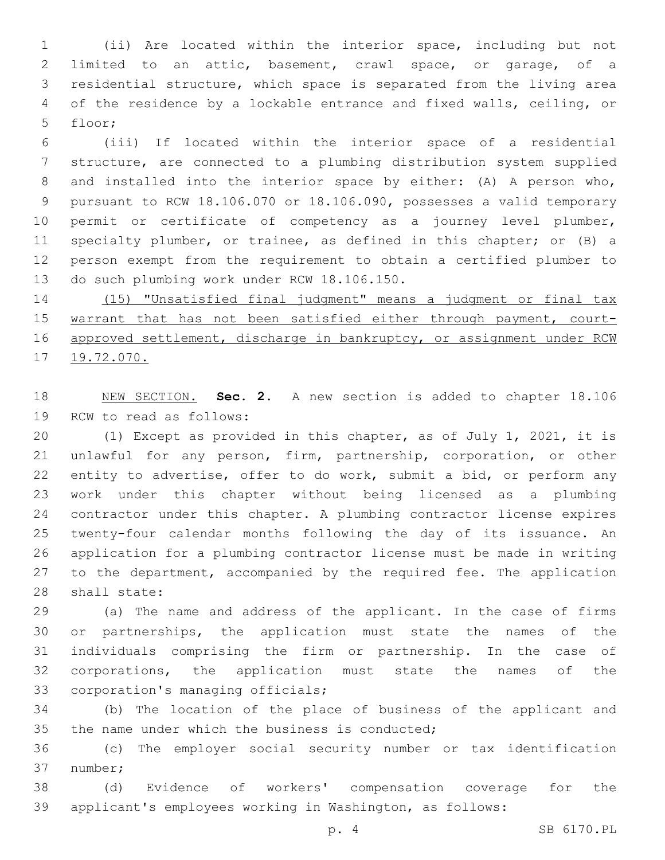(ii) Are located within the interior space, including but not limited to an attic, basement, crawl space, or garage, of a residential structure, which space is separated from the living area of the residence by a lockable entrance and fixed walls, ceiling, or 5 floor;

 (iii) If located within the interior space of a residential structure, are connected to a plumbing distribution system supplied and installed into the interior space by either: (A) A person who, pursuant to RCW 18.106.070 or 18.106.090, possesses a valid temporary permit or certificate of competency as a journey level plumber, specialty plumber, or trainee, as defined in this chapter; or (B) a person exempt from the requirement to obtain a certified plumber to 13 do such plumbing work under RCW 18.106.150.

 (15) "Unsatisfied final judgment" means a judgment or final tax 15 warrant that has not been satisfied either through payment, court-16 approved settlement, discharge in bankruptcy, or assignment under RCW 19.72.070.

 NEW SECTION. **Sec. 2.** A new section is added to chapter 18.106 19 RCW to read as follows:

 (1) Except as provided in this chapter, as of July 1, 2021, it is unlawful for any person, firm, partnership, corporation, or other entity to advertise, offer to do work, submit a bid, or perform any work under this chapter without being licensed as a plumbing contractor under this chapter. A plumbing contractor license expires twenty-four calendar months following the day of its issuance. An application for a plumbing contractor license must be made in writing 27 to the department, accompanied by the required fee. The application 28 shall state:

 (a) The name and address of the applicant. In the case of firms or partnerships, the application must state the names of the individuals comprising the firm or partnership. In the case of corporations, the application must state the names of the 33 corporation's managing officials;

 (b) The location of the place of business of the applicant and 35 the name under which the business is conducted;

 (c) The employer social security number or tax identification 37 number;

 (d) Evidence of workers' compensation coverage for the applicant's employees working in Washington, as follows: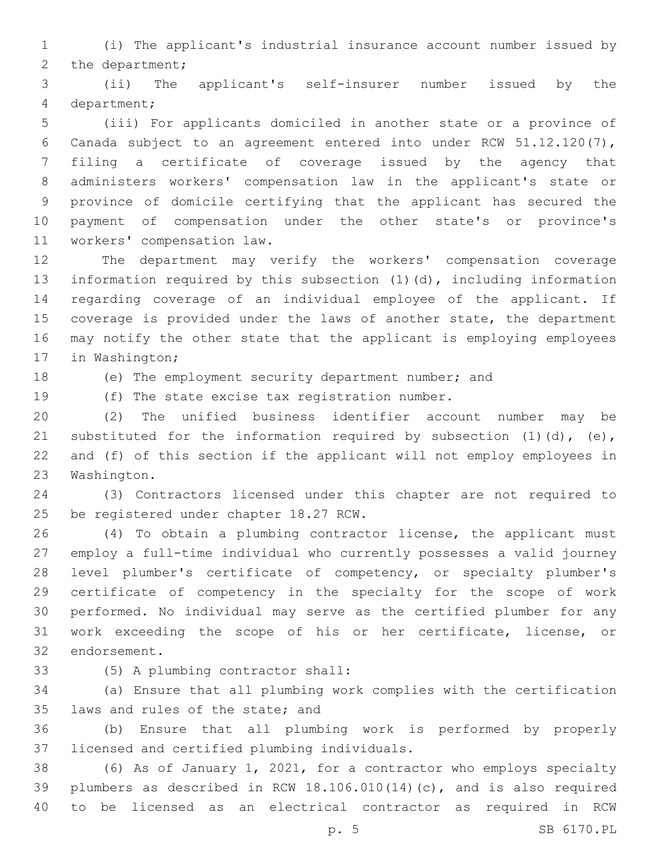(i) The applicant's industrial insurance account number issued by 2 the department;

 (ii) The applicant's self-insurer number issued by the department;4

 (iii) For applicants domiciled in another state or a province of Canada subject to an agreement entered into under RCW 51.12.120(7), filing a certificate of coverage issued by the agency that administers workers' compensation law in the applicant's state or province of domicile certifying that the applicant has secured the payment of compensation under the other state's or province's 11 workers' compensation law.

 The department may verify the workers' compensation coverage information required by this subsection (1)(d), including information regarding coverage of an individual employee of the applicant. If coverage is provided under the laws of another state, the department may notify the other state that the applicant is employing employees 17 in Washington;

(e) The employment security department number; and

19 (f) The state excise tax registration number.

 (2) The unified business identifier account number may be 21 substituted for the information required by subsection  $(1)$   $(d)$ ,  $(e)$ , and (f) of this section if the applicant will not employ employees in 23 Washington.

 (3) Contractors licensed under this chapter are not required to 25 be registered under chapter 18.27 RCW.

 (4) To obtain a plumbing contractor license, the applicant must employ a full-time individual who currently possesses a valid journey level plumber's certificate of competency, or specialty plumber's certificate of competency in the specialty for the scope of work performed. No individual may serve as the certified plumber for any work exceeding the scope of his or her certificate, license, or 32 endorsement.

(5) A plumbing contractor shall:33

 (a) Ensure that all plumbing work complies with the certification 35 laws and rules of the state; and

 (b) Ensure that all plumbing work is performed by properly 37 licensed and certified plumbing individuals.

 (6) As of January 1, 2021, for a contractor who employs specialty plumbers as described in RCW 18.106.010(14)(c), and is also required to be licensed as an electrical contractor as required in RCW

p. 5 SB 6170.PL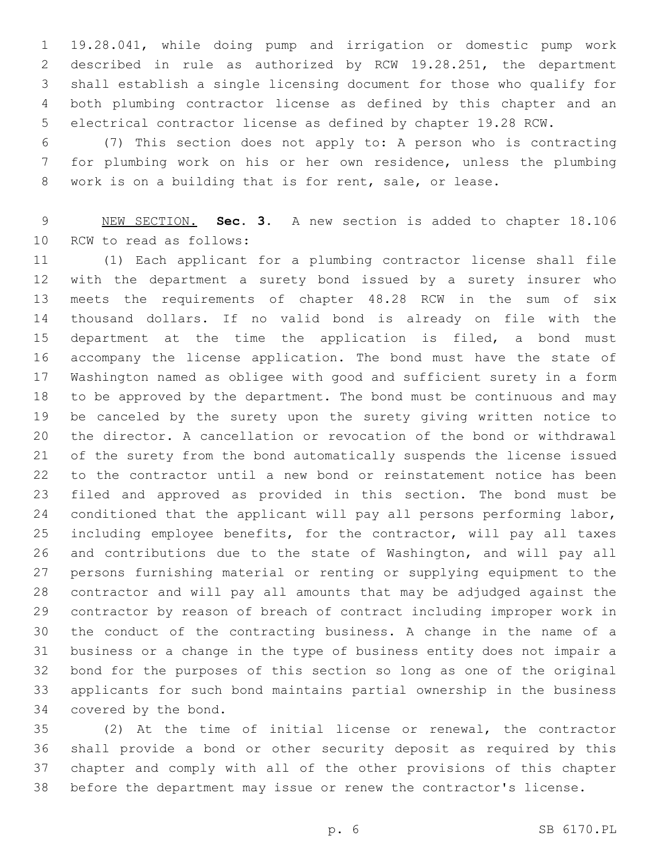19.28.041, while doing pump and irrigation or domestic pump work described in rule as authorized by RCW 19.28.251, the department shall establish a single licensing document for those who qualify for both plumbing contractor license as defined by this chapter and an electrical contractor license as defined by chapter 19.28 RCW.

 (7) This section does not apply to: A person who is contracting for plumbing work on his or her own residence, unless the plumbing work is on a building that is for rent, sale, or lease.

 NEW SECTION. **Sec. 3.** A new section is added to chapter 18.106 10 RCW to read as follows:

 (1) Each applicant for a plumbing contractor license shall file with the department a surety bond issued by a surety insurer who meets the requirements of chapter 48.28 RCW in the sum of six thousand dollars. If no valid bond is already on file with the 15 department at the time the application is filed, a bond must accompany the license application. The bond must have the state of Washington named as obligee with good and sufficient surety in a form to be approved by the department. The bond must be continuous and may be canceled by the surety upon the surety giving written notice to the director. A cancellation or revocation of the bond or withdrawal of the surety from the bond automatically suspends the license issued to the contractor until a new bond or reinstatement notice has been filed and approved as provided in this section. The bond must be 24 conditioned that the applicant will pay all persons performing labor, including employee benefits, for the contractor, will pay all taxes and contributions due to the state of Washington, and will pay all persons furnishing material or renting or supplying equipment to the contractor and will pay all amounts that may be adjudged against the contractor by reason of breach of contract including improper work in the conduct of the contracting business. A change in the name of a business or a change in the type of business entity does not impair a bond for the purposes of this section so long as one of the original applicants for such bond maintains partial ownership in the business 34 covered by the bond.

 (2) At the time of initial license or renewal, the contractor shall provide a bond or other security deposit as required by this chapter and comply with all of the other provisions of this chapter before the department may issue or renew the contractor's license.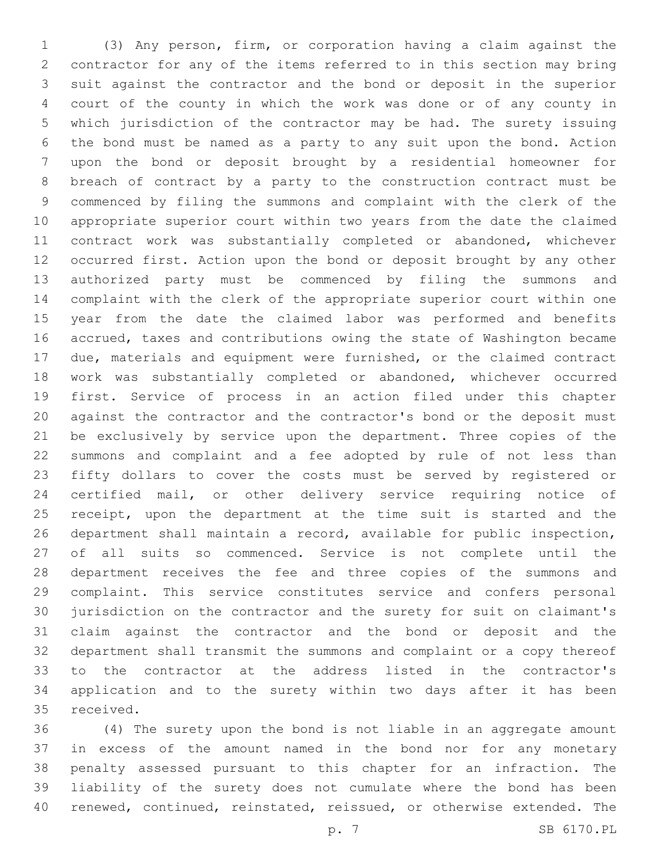(3) Any person, firm, or corporation having a claim against the contractor for any of the items referred to in this section may bring suit against the contractor and the bond or deposit in the superior court of the county in which the work was done or of any county in which jurisdiction of the contractor may be had. The surety issuing the bond must be named as a party to any suit upon the bond. Action upon the bond or deposit brought by a residential homeowner for breach of contract by a party to the construction contract must be commenced by filing the summons and complaint with the clerk of the appropriate superior court within two years from the date the claimed contract work was substantially completed or abandoned, whichever occurred first. Action upon the bond or deposit brought by any other authorized party must be commenced by filing the summons and complaint with the clerk of the appropriate superior court within one year from the date the claimed labor was performed and benefits accrued, taxes and contributions owing the state of Washington became due, materials and equipment were furnished, or the claimed contract work was substantially completed or abandoned, whichever occurred first. Service of process in an action filed under this chapter against the contractor and the contractor's bond or the deposit must be exclusively by service upon the department. Three copies of the summons and complaint and a fee adopted by rule of not less than fifty dollars to cover the costs must be served by registered or certified mail, or other delivery service requiring notice of 25 receipt, upon the department at the time suit is started and the department shall maintain a record, available for public inspection, of all suits so commenced. Service is not complete until the department receives the fee and three copies of the summons and complaint. This service constitutes service and confers personal jurisdiction on the contractor and the surety for suit on claimant's claim against the contractor and the bond or deposit and the department shall transmit the summons and complaint or a copy thereof to the contractor at the address listed in the contractor's application and to the surety within two days after it has been 35 received.

 (4) The surety upon the bond is not liable in an aggregate amount in excess of the amount named in the bond nor for any monetary penalty assessed pursuant to this chapter for an infraction. The liability of the surety does not cumulate where the bond has been renewed, continued, reinstated, reissued, or otherwise extended. The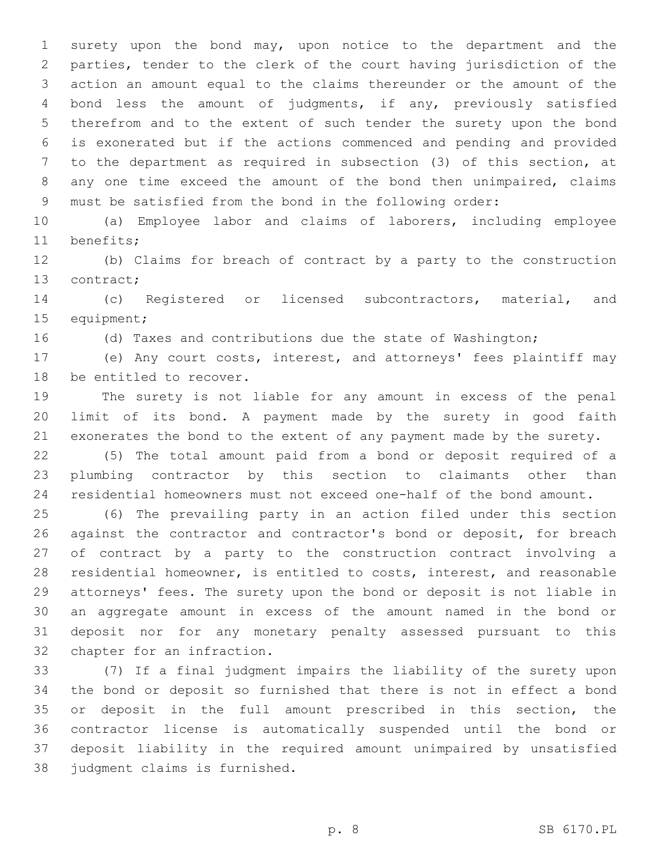surety upon the bond may, upon notice to the department and the parties, tender to the clerk of the court having jurisdiction of the action an amount equal to the claims thereunder or the amount of the bond less the amount of judgments, if any, previously satisfied therefrom and to the extent of such tender the surety upon the bond is exonerated but if the actions commenced and pending and provided to the department as required in subsection (3) of this section, at any one time exceed the amount of the bond then unimpaired, claims must be satisfied from the bond in the following order:

 (a) Employee labor and claims of laborers, including employee 11 benefits;

 (b) Claims for breach of contract by a party to the construction 13 contract;

 (c) Registered or licensed subcontractors, material, and 15 equipment;

(d) Taxes and contributions due the state of Washington;

 (e) Any court costs, interest, and attorneys' fees plaintiff may 18 be entitled to recover.

 The surety is not liable for any amount in excess of the penal limit of its bond. A payment made by the surety in good faith exonerates the bond to the extent of any payment made by the surety.

 (5) The total amount paid from a bond or deposit required of a plumbing contractor by this section to claimants other than residential homeowners must not exceed one-half of the bond amount.

 (6) The prevailing party in an action filed under this section against the contractor and contractor's bond or deposit, for breach of contract by a party to the construction contract involving a residential homeowner, is entitled to costs, interest, and reasonable attorneys' fees. The surety upon the bond or deposit is not liable in an aggregate amount in excess of the amount named in the bond or deposit nor for any monetary penalty assessed pursuant to this 32 chapter for an infraction.

 (7) If a final judgment impairs the liability of the surety upon the bond or deposit so furnished that there is not in effect a bond or deposit in the full amount prescribed in this section, the contractor license is automatically suspended until the bond or deposit liability in the required amount unimpaired by unsatisfied 38 judgment claims is furnished.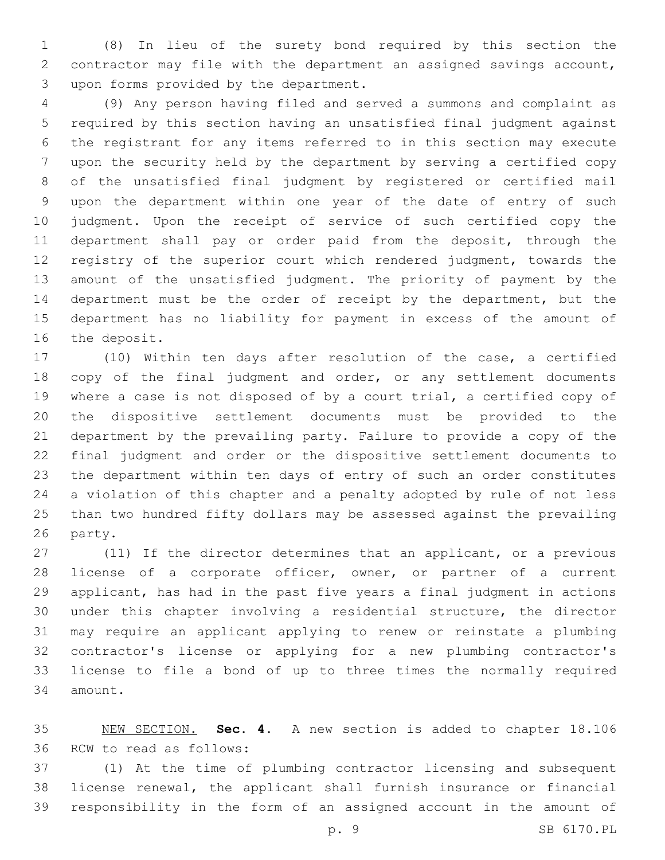(8) In lieu of the surety bond required by this section the contractor may file with the department an assigned savings account, 3 upon forms provided by the department.

 (9) Any person having filed and served a summons and complaint as required by this section having an unsatisfied final judgment against the registrant for any items referred to in this section may execute upon the security held by the department by serving a certified copy of the unsatisfied final judgment by registered or certified mail upon the department within one year of the date of entry of such judgment. Upon the receipt of service of such certified copy the department shall pay or order paid from the deposit, through the registry of the superior court which rendered judgment, towards the amount of the unsatisfied judgment. The priority of payment by the department must be the order of receipt by the department, but the department has no liability for payment in excess of the amount of 16 the deposit.

 (10) Within ten days after resolution of the case, a certified 18 copy of the final judgment and order, or any settlement documents where a case is not disposed of by a court trial, a certified copy of the dispositive settlement documents must be provided to the department by the prevailing party. Failure to provide a copy of the final judgment and order or the dispositive settlement documents to the department within ten days of entry of such an order constitutes a violation of this chapter and a penalty adopted by rule of not less than two hundred fifty dollars may be assessed against the prevailing 26 party.

 (11) If the director determines that an applicant, or a previous 28 license of a corporate officer, owner, or partner of a current applicant, has had in the past five years a final judgment in actions under this chapter involving a residential structure, the director may require an applicant applying to renew or reinstate a plumbing contractor's license or applying for a new plumbing contractor's license to file a bond of up to three times the normally required 34 amount.

 NEW SECTION. **Sec. 4.** A new section is added to chapter 18.106 36 RCW to read as follows:

 (1) At the time of plumbing contractor licensing and subsequent license renewal, the applicant shall furnish insurance or financial responsibility in the form of an assigned account in the amount of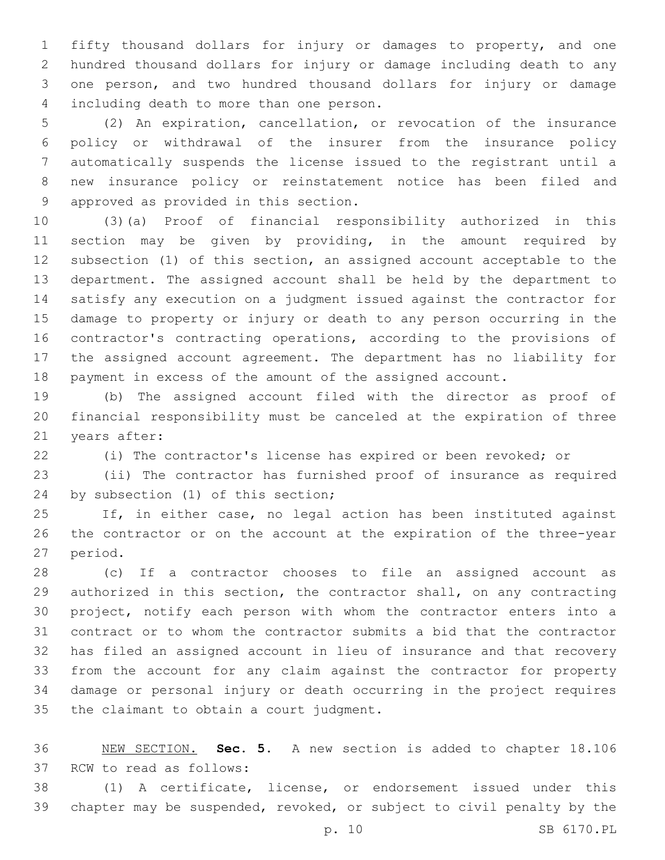fifty thousand dollars for injury or damages to property, and one hundred thousand dollars for injury or damage including death to any one person, and two hundred thousand dollars for injury or damage 4 including death to more than one person.

 (2) An expiration, cancellation, or revocation of the insurance policy or withdrawal of the insurer from the insurance policy automatically suspends the license issued to the registrant until a new insurance policy or reinstatement notice has been filed and 9 approved as provided in this section.

 (3)(a) Proof of financial responsibility authorized in this section may be given by providing, in the amount required by subsection (1) of this section, an assigned account acceptable to the department. The assigned account shall be held by the department to satisfy any execution on a judgment issued against the contractor for damage to property or injury or death to any person occurring in the contractor's contracting operations, according to the provisions of the assigned account agreement. The department has no liability for payment in excess of the amount of the assigned account.

 (b) The assigned account filed with the director as proof of financial responsibility must be canceled at the expiration of three 21 years after:

(i) The contractor's license has expired or been revoked; or

 (ii) The contractor has furnished proof of insurance as required 24 by subsection (1) of this section;

 If, in either case, no legal action has been instituted against the contractor or on the account at the expiration of the three-year 27 period.

 (c) If a contractor chooses to file an assigned account as authorized in this section, the contractor shall, on any contracting project, notify each person with whom the contractor enters into a contract or to whom the contractor submits a bid that the contractor has filed an assigned account in lieu of insurance and that recovery from the account for any claim against the contractor for property damage or personal injury or death occurring in the project requires 35 the claimant to obtain a court judgment.

 NEW SECTION. **Sec. 5.** A new section is added to chapter 18.106 37 RCW to read as follows:

 (1) A certificate, license, or endorsement issued under this chapter may be suspended, revoked, or subject to civil penalty by the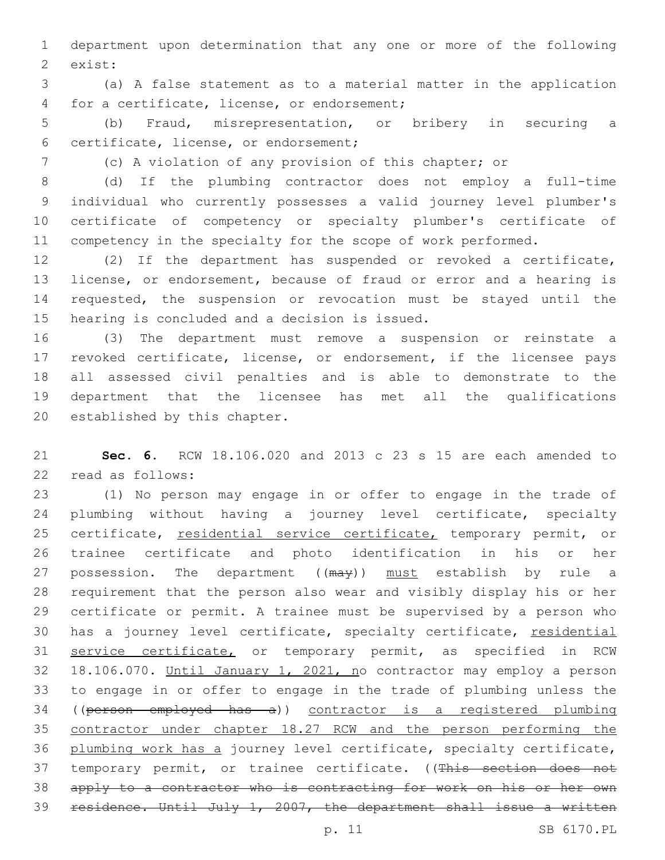department upon determination that any one or more of the following 2 exist:

 (a) A false statement as to a material matter in the application 4 for a certificate, license, or endorsement;

 (b) Fraud, misrepresentation, or bribery in securing a certificate, license, or endorsement;6

(c) A violation of any provision of this chapter; or

 (d) If the plumbing contractor does not employ a full-time individual who currently possesses a valid journey level plumber's certificate of competency or specialty plumber's certificate of 11 competency in the specialty for the scope of work performed.

 (2) If the department has suspended or revoked a certificate, license, or endorsement, because of fraud or error and a hearing is requested, the suspension or revocation must be stayed until the 15 hearing is concluded and a decision is issued.

 (3) The department must remove a suspension or reinstate a revoked certificate, license, or endorsement, if the licensee pays all assessed civil penalties and is able to demonstrate to the department that the licensee has met all the qualifications 20 established by this chapter.

 **Sec. 6.** RCW 18.106.020 and 2013 c 23 s 15 are each amended to 22 read as follows:

 (1) No person may engage in or offer to engage in the trade of plumbing without having a journey level certificate, specialty 25 certificate, residential service certificate, temporary permit, or trainee certificate and photo identification in his or her 27 possession. The department ((may)) must establish by rule a requirement that the person also wear and visibly display his or her certificate or permit. A trainee must be supervised by a person who 30 has a journey level certificate, specialty certificate, residential 31 service certificate, or temporary permit, as specified in RCW 18.106.070. Until January 1, 2021, no contractor may employ a person to engage in or offer to engage in the trade of plumbing unless the ((person employed has a)) contractor is a registered plumbing contractor under chapter 18.27 RCW and the person performing the plumbing work has a journey level certificate, specialty certificate, 37 temporary permit, or trainee certificate. ((This section does not apply to a contractor who is contracting for work on his or her own residence. Until July 1, 2007, the department shall issue a written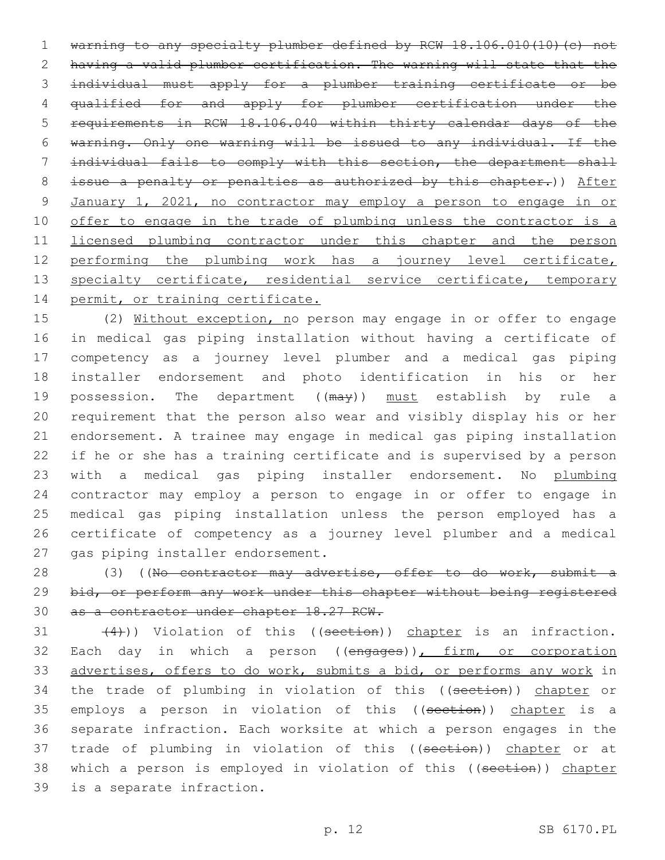warning to any specialty plumber defined by RCW 18.106.010(10)(c) not having a valid plumber certification. The warning will state that the individual must apply for a plumber training certificate or be qualified for and apply for plumber certification under the requirements in RCW 18.106.040 within thirty calendar days of the warning. Only one warning will be issued to any individual. If the individual fails to comply with this section, the department shall 8 issue a penalty or penalties as authorized by this chapter.)) After January 1, 2021, no contractor may employ a person to engage in or 10 offer to engage in the trade of plumbing unless the contractor is a licensed plumbing contractor under this chapter and the person performing the plumbing work has a journey level certificate, 13 specialty certificate, residential service certificate, temporary 14 permit, or training certificate.

 (2) Without exception, no person may engage in or offer to engage in medical gas piping installation without having a certificate of competency as a journey level plumber and a medical gas piping installer endorsement and photo identification in his or her 19 possession. The department ((may)) must establish by rule a requirement that the person also wear and visibly display his or her endorsement. A trainee may engage in medical gas piping installation if he or she has a training certificate and is supervised by a person 23 with a medical gas piping installer endorsement. No plumbing contractor may employ a person to engage in or offer to engage in medical gas piping installation unless the person employed has a certificate of competency as a journey level plumber and a medical 27 gas piping installer endorsement.

28 (3) ((No contractor may advertise, offer to do work, submit a 29 bid, or perform any work under this chapter without being registered 30 as a contractor under chapter 18.27 RCW.

 $(4)$ )) Violation of this ((section)) chapter is an infraction. 32 Each day in which a person ((engages)), firm, or corporation 33 advertises, offers to do work, submits a bid, or performs any work in 34 the trade of plumbing in violation of this ((section)) chapter or 35 employs a person in violation of this ((section)) chapter is a 36 separate infraction. Each worksite at which a person engages in the 37 trade of plumbing in violation of this ((section)) chapter or at 38 which a person is employed in violation of this ((section)) chapter 39 is a separate infraction.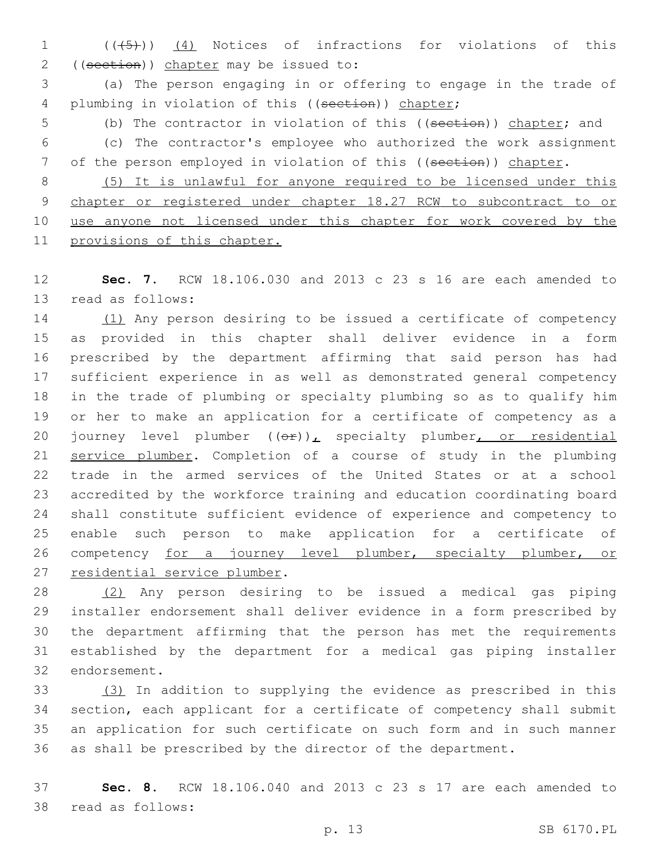1 (( $(45)$ )) (4) Notices of infractions for violations of this 2 ((section)) chapter may be issued to:

 (a) The person engaging in or offering to engage in the trade of 4 plumbing in violation of this ((section)) chapter;

5 (b) The contractor in violation of this ((section)) chapter; and

 (c) The contractor's employee who authorized the work assignment 7 of the person employed in violation of this ((section)) chapter.

 (5) It is unlawful for anyone required to be licensed under this chapter or registered under chapter 18.27 RCW to subcontract to or 10 use anyone not licensed under this chapter for work covered by the provisions of this chapter.

 **Sec. 7.** RCW 18.106.030 and 2013 c 23 s 16 are each amended to 13 read as follows:

 (1) Any person desiring to be issued a certificate of competency as provided in this chapter shall deliver evidence in a form prescribed by the department affirming that said person has had sufficient experience in as well as demonstrated general competency in the trade of plumbing or specialty plumbing so as to qualify him or her to make an application for a certificate of competency as a 20 journey level plumber  $((\theta \hat{r}))_L$  specialty plumber, or residential service plumber. Completion of a course of study in the plumbing trade in the armed services of the United States or at a school accredited by the workforce training and education coordinating board shall constitute sufficient evidence of experience and competency to enable such person to make application for a certificate of 26 competency for a journey level plumber, specialty plumber, or 27 residential service plumber.

 (2) Any person desiring to be issued a medical gas piping installer endorsement shall deliver evidence in a form prescribed by the department affirming that the person has met the requirements established by the department for a medical gas piping installer 32 endorsement.

 (3) In addition to supplying the evidence as prescribed in this section, each applicant for a certificate of competency shall submit an application for such certificate on such form and in such manner as shall be prescribed by the director of the department.

 **Sec. 8.** RCW 18.106.040 and 2013 c 23 s 17 are each amended to 38 read as follows: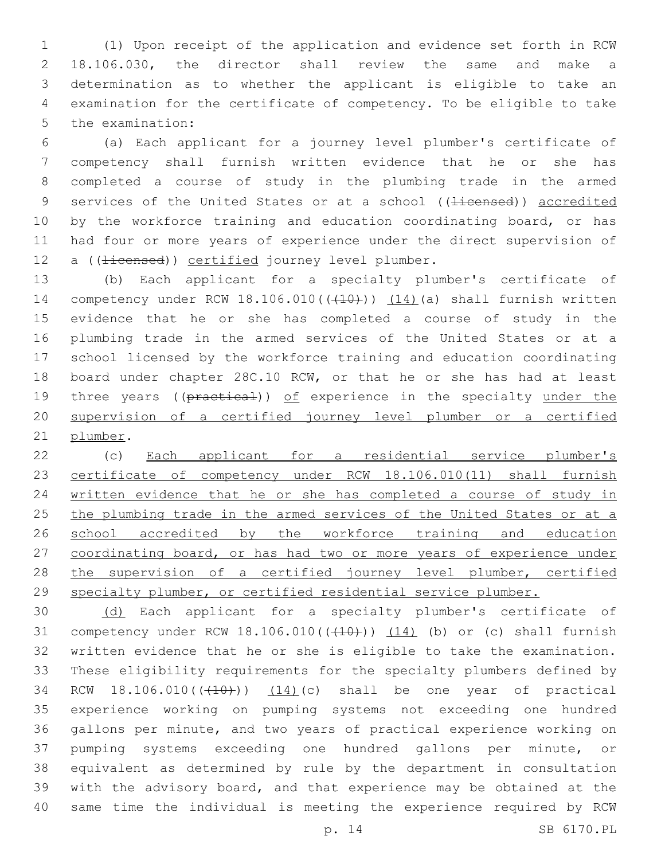(1) Upon receipt of the application and evidence set forth in RCW 18.106.030, the director shall review the same and make a determination as to whether the applicant is eligible to take an examination for the certificate of competency. To be eligible to take 5 the examination:

 (a) Each applicant for a journey level plumber's certificate of competency shall furnish written evidence that he or she has completed a course of study in the plumbing trade in the armed 9 services of the United States or at a school ((<del>licensed</del>)) accredited 10 by the workforce training and education coordinating board, or has had four or more years of experience under the direct supervision of 12 a ((<del>licensed</del>)) certified journey level plumber.

 (b) Each applicant for a specialty plumber's certificate of 14 competency under RCW 18.106.010(((410))) (14)(a) shall furnish written evidence that he or she has completed a course of study in the plumbing trade in the armed services of the United States or at a school licensed by the workforce training and education coordinating board under chapter 28C.10 RCW, or that he or she has had at least 19 three years ((practical)) of experience in the specialty under the supervision of a certified journey level plumber or a certified 21 plumber.

 (c) Each applicant for a residential service plumber's certificate of competency under RCW 18.106.010(11) shall furnish written evidence that he or she has completed a course of study in 25 the plumbing trade in the armed services of the United States or at a 26 school accredited by the workforce training and education coordinating board, or has had two or more years of experience under 28 the supervision of a certified journey level plumber, certified specialty plumber, or certified residential service plumber.

 (d) Each applicant for a specialty plumber's certificate of 31 competency under RCW  $18.106.010$  ( $(410)$ ))  $(14)$  (b) or (c) shall furnish written evidence that he or she is eligible to take the examination. These eligibility requirements for the specialty plumbers defined by 34 RCW 18.106.010(((410))) (14)(c) shall be one year of practical experience working on pumping systems not exceeding one hundred gallons per minute, and two years of practical experience working on pumping systems exceeding one hundred gallons per minute, or equivalent as determined by rule by the department in consultation with the advisory board, and that experience may be obtained at the same time the individual is meeting the experience required by RCW

p. 14 SB 6170.PL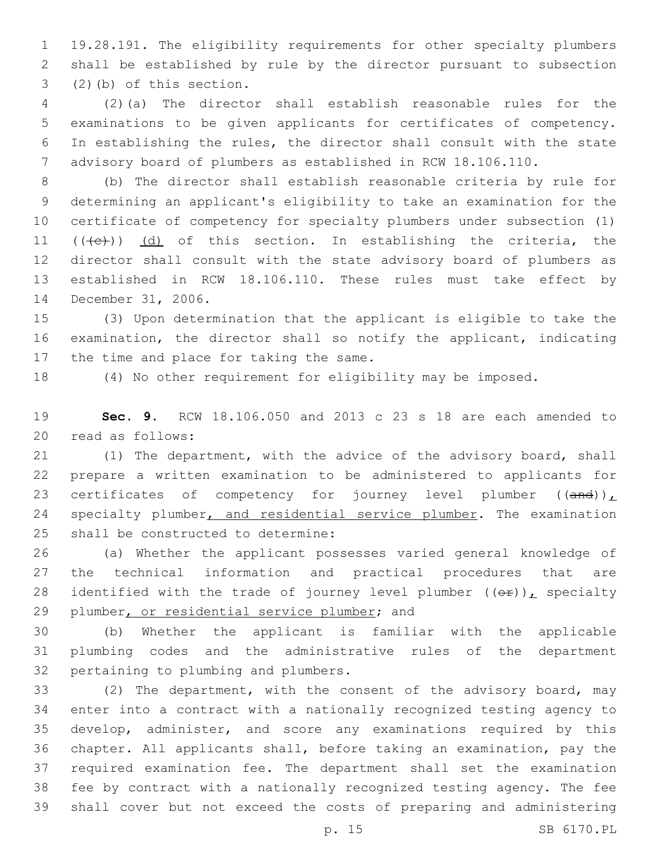19.28.191. The eligibility requirements for other specialty plumbers shall be established by rule by the director pursuant to subsection  $(2)$  (b) of this section.

 (2)(a) The director shall establish reasonable rules for the examinations to be given applicants for certificates of competency. In establishing the rules, the director shall consult with the state advisory board of plumbers as established in RCW 18.106.110.

 (b) The director shall establish reasonable criteria by rule for determining an applicant's eligibility to take an examination for the certificate of competency for specialty plumbers under subsection (1)  $((+e))$   $(d)$  of this section. In establishing the criteria, the director shall consult with the state advisory board of plumbers as established in RCW 18.106.110. These rules must take effect by 14 December 31, 2006.

 (3) Upon determination that the applicant is eligible to take the examination, the director shall so notify the applicant, indicating 17 the time and place for taking the same.

(4) No other requirement for eligibility may be imposed.

 **Sec. 9.** RCW 18.106.050 and 2013 c 23 s 18 are each amended to 20 read as follows:

 (1) The department, with the advice of the advisory board, shall prepare a written examination to be administered to applicants for 23 certificates of competency for journey level plumber  $((and))_L$ 24 specialty plumber, and residential service plumber. The examination 25 shall be constructed to determine:

 (a) Whether the applicant possesses varied general knowledge of the technical information and practical procedures that are 28 identified with the trade of journey level plumber  $((\theta \cdot \mathbf{r}))$ , specialty 29 plumber, or residential service plumber; and

 (b) Whether the applicant is familiar with the applicable plumbing codes and the administrative rules of the department 32 pertaining to plumbing and plumbers.

 (2) The department, with the consent of the advisory board, may enter into a contract with a nationally recognized testing agency to develop, administer, and score any examinations required by this chapter. All applicants shall, before taking an examination, pay the required examination fee. The department shall set the examination fee by contract with a nationally recognized testing agency. The fee shall cover but not exceed the costs of preparing and administering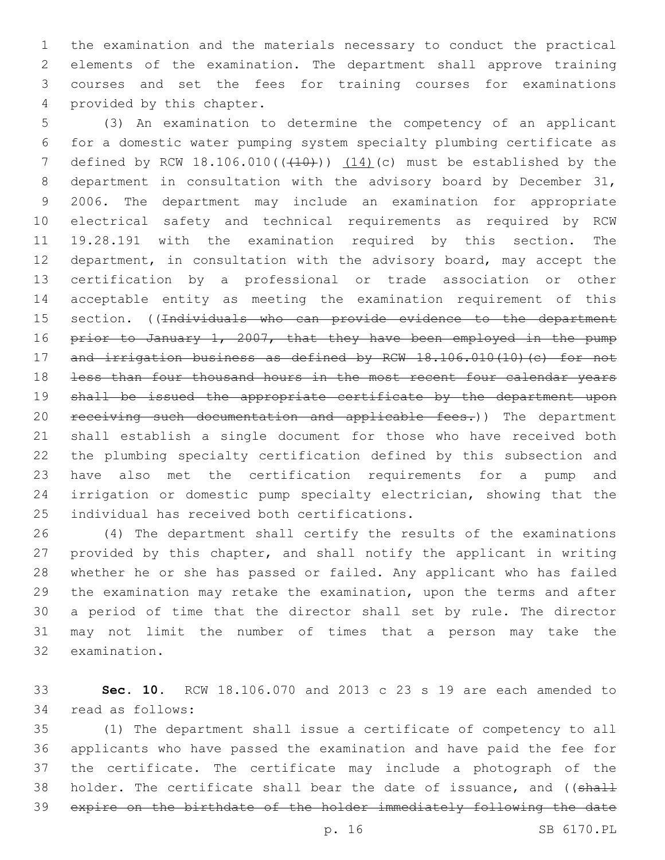the examination and the materials necessary to conduct the practical elements of the examination. The department shall approve training courses and set the fees for training courses for examinations 4 provided by this chapter.

 (3) An examination to determine the competency of an applicant for a domestic water pumping system specialty plumbing certificate as 7 defined by RCW  $18.106.010$  ( $(410+)$ )  $(14)$  (c) must be established by the department in consultation with the advisory board by December 31, 2006. The department may include an examination for appropriate electrical safety and technical requirements as required by RCW 19.28.191 with the examination required by this section. The department, in consultation with the advisory board, may accept the certification by a professional or trade association or other acceptable entity as meeting the examination requirement of this 15 section. ((Individuals who can provide evidence to the department 16 prior to January 1, 2007, that they have been employed in the pump 17 and irrigation business as defined by RCW 18.106.010(10)(c) for not less than four thousand hours in the most recent four calendar years shall be issued the appropriate certificate by the department upon 20 receiving such documentation and applicable fees.)) The department shall establish a single document for those who have received both the plumbing specialty certification defined by this subsection and have also met the certification requirements for a pump and irrigation or domestic pump specialty electrician, showing that the 25 individual has received both certifications.

 (4) The department shall certify the results of the examinations provided by this chapter, and shall notify the applicant in writing whether he or she has passed or failed. Any applicant who has failed the examination may retake the examination, upon the terms and after a period of time that the director shall set by rule. The director may not limit the number of times that a person may take the 32 examination.

 **Sec. 10.** RCW 18.106.070 and 2013 c 23 s 19 are each amended to 34 read as follows:

 (1) The department shall issue a certificate of competency to all applicants who have passed the examination and have paid the fee for the certificate. The certificate may include a photograph of the 38 holder. The certificate shall bear the date of issuance, and ((shall expire on the birthdate of the holder immediately following the date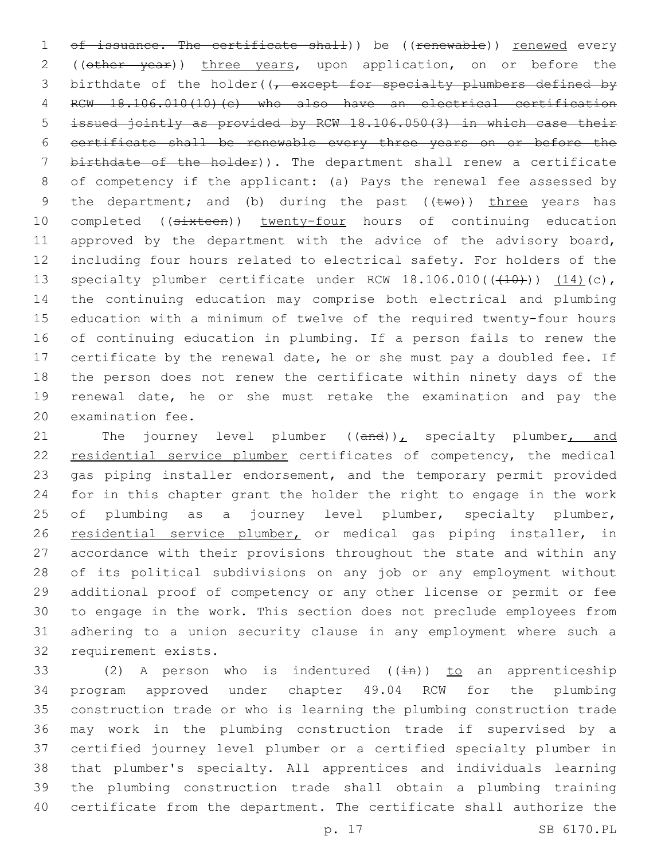1 of issuance. The certificate shall)) be ((renewable)) renewed every 2 ((other year)) three years, upon application, on or before the 3 birthdate of the holder( $\sqrt{t}$  except for specialty plumbers defined by RCW 18.106.010(10)(c) who also have an electrical certification issued jointly as provided by RCW 18.106.050(3) in which case their certificate shall be renewable every three years on or before the birthdate of the holder)). The department shall renew a certificate of competency if the applicant: (a) Pays the renewal fee assessed by 9 the department; and (b) during the past  $((\text{two}))$  three years has 10 completed ((sixteen)) twenty-four hours of continuing education 11 approved by the department with the advice of the advisory board, including four hours related to electrical safety. For holders of the 13 specialty plumber certificate under RCW  $18.106.010((\text{+}10\text{+}))$   $(14)(c)$ , the continuing education may comprise both electrical and plumbing education with a minimum of twelve of the required twenty-four hours of continuing education in plumbing. If a person fails to renew the certificate by the renewal date, he or she must pay a doubled fee. If the person does not renew the certificate within ninety days of the renewal date, he or she must retake the examination and pay the 20 examination fee.

21 The journey level plumber  $((and))_L$  specialty plumber, and 22 residential service plumber certificates of competency, the medical gas piping installer endorsement, and the temporary permit provided for in this chapter grant the holder the right to engage in the work 25 of plumbing as a journey level plumber, specialty plumber, 26 residential service plumber, or medical gas piping installer, in accordance with their provisions throughout the state and within any of its political subdivisions on any job or any employment without additional proof of competency or any other license or permit or fee to engage in the work. This section does not preclude employees from adhering to a union security clause in any employment where such a 32 requirement exists.

33 (2) A person who is indentured  $(\pm n)$ ) to an apprenticeship program approved under chapter 49.04 RCW for the plumbing construction trade or who is learning the plumbing construction trade may work in the plumbing construction trade if supervised by a certified journey level plumber or a certified specialty plumber in that plumber's specialty. All apprentices and individuals learning the plumbing construction trade shall obtain a plumbing training certificate from the department. The certificate shall authorize the

p. 17 SB 6170.PL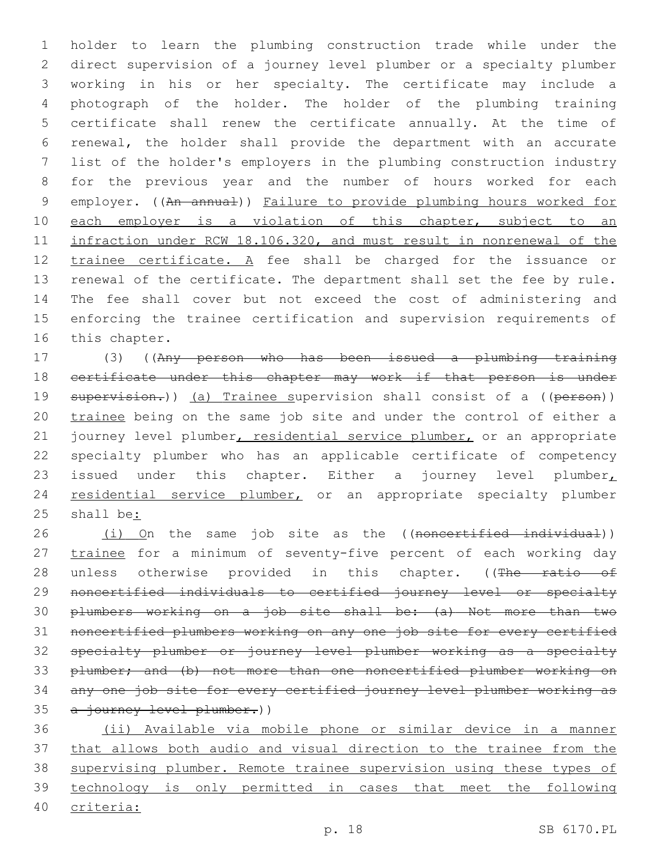holder to learn the plumbing construction trade while under the direct supervision of a journey level plumber or a specialty plumber working in his or her specialty. The certificate may include a photograph of the holder. The holder of the plumbing training certificate shall renew the certificate annually. At the time of renewal, the holder shall provide the department with an accurate list of the holder's employers in the plumbing construction industry for the previous year and the number of hours worked for each 9 employer. ((An annual)) Failure to provide plumbing hours worked for 10 each employer is a violation of this chapter, subject to an infraction under RCW 18.106.320, and must result in nonrenewal of the 12 trainee certificate. A fee shall be charged for the issuance or renewal of the certificate. The department shall set the fee by rule. The fee shall cover but not exceed the cost of administering and enforcing the trainee certification and supervision requirements of 16 this chapter.

 (3) ((Any person who has been issued a plumbing training 18 certificate under this chapter may work if that person is under 19 supervision.)) (a) Trainee supervision shall consist of a ((person)) 20 trainee being on the same job site and under the control of either a 21 journey level plumber, residential service plumber, or an appropriate specialty plumber who has an applicable certificate of competency 23 issued under this chapter. Either a journey level plumber 24 residential service plumber, or an appropriate specialty plumber shall be:

26 (i) On the same job site as the ((noncertified individual)) 27 trainee for a minimum of seventy-five percent of each working day 28 unless otherwise provided in this chapter. ((The ratio of noncertified individuals to certified journey level or specialty plumbers working on a job site shall be: (a) Not more than two noncertified plumbers working on any one job site for every certified specialty plumber or journey level plumber working as a specialty plumber; and (b) not more than one noncertified plumber working on any one job site for every certified journey level plumber working as 35 a journey level plumber.))

 (ii) Available via mobile phone or similar device in a manner that allows both audio and visual direction to the trainee from the supervising plumber. Remote trainee supervision using these types of technology is only permitted in cases that meet the following criteria: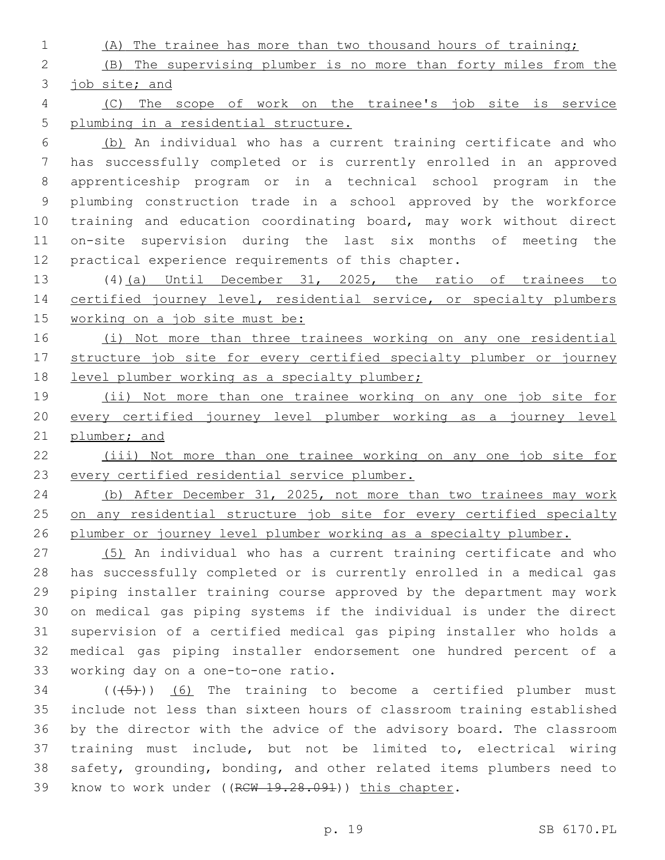(A) The trainee has more than two thousand hours of training;

 (B) The supervising plumber is no more than forty miles from the job site; and

 (C) The scope of work on the trainee's job site is service plumbing in a residential structure.

 (b) An individual who has a current training certificate and who has successfully completed or is currently enrolled in an approved apprenticeship program or in a technical school program in the plumbing construction trade in a school approved by the workforce training and education coordinating board, may work without direct on-site supervision during the last six months of meeting the practical experience requirements of this chapter.

 (4)(a) Until December 31, 2025, the ratio of trainees to 14 certified journey level, residential service, or specialty plumbers working on a job site must be:

 (i) Not more than three trainees working on any one residential structure job site for every certified specialty plumber or journey 18 level plumber working as a specialty plumber;

 (ii) Not more than one trainee working on any one job site for every certified journey level plumber working as a journey level plumber; and

 (iii) Not more than one trainee working on any one job site for every certified residential service plumber.

 (b) After December 31, 2025, not more than two trainees may work 25 on any residential structure job site for every certified specialty plumber or journey level plumber working as a specialty plumber.

 (5) An individual who has a current training certificate and who has successfully completed or is currently enrolled in a medical gas piping installer training course approved by the department may work on medical gas piping systems if the individual is under the direct supervision of a certified medical gas piping installer who holds a medical gas piping installer endorsement one hundred percent of a 33 working day on a one-to-one ratio.

 ( $(\overline{(+5+})$ ) (6) The training to become a certified plumber must include not less than sixteen hours of classroom training established by the director with the advice of the advisory board. The classroom training must include, but not be limited to, electrical wiring safety, grounding, bonding, and other related items plumbers need to 39 know to work under ((RCW 19.28.091)) this chapter.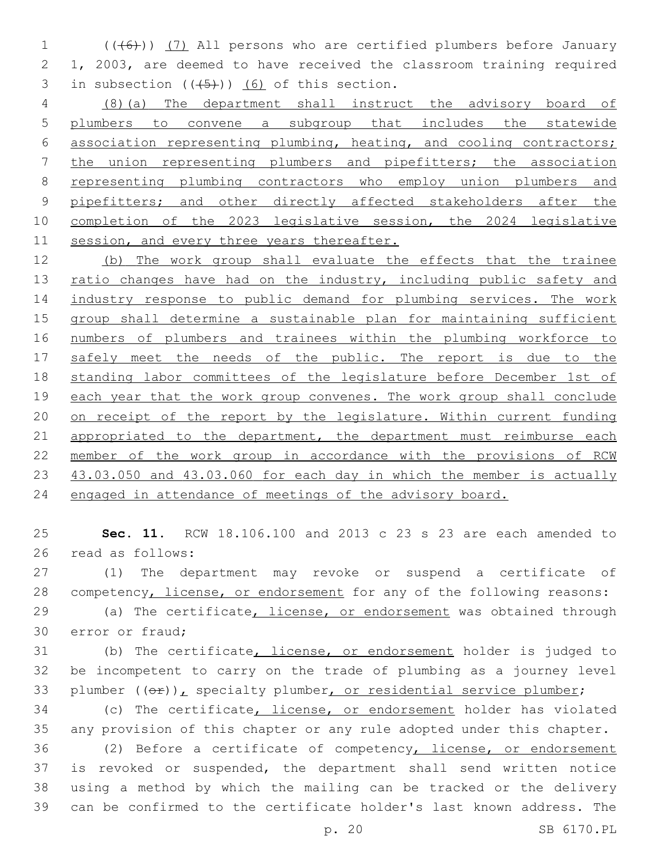(((6))) (7) All persons who are certified plumbers before January 1, 2003, are deemed to have received the classroom training required 3 in subsection  $((+5))$   $(6)$  of this section.

 (8)(a) The department shall instruct the advisory board of plumbers to convene a subgroup that includes the statewide association representing plumbing, heating, and cooling contractors; the union representing plumbers and pipefitters; the association representing plumbing contractors who employ union plumbers and 9 pipefitters; and other directly affected stakeholders after the completion of the 2023 legislative session, the 2024 legislative 11 session, and every three years thereafter.

 (b) The work group shall evaluate the effects that the trainee 13 ratio changes have had on the industry, including public safety and industry response to public demand for plumbing services. The work group shall determine a sustainable plan for maintaining sufficient numbers of plumbers and trainees within the plumbing workforce to 17 safely meet the needs of the public. The report is due to the standing labor committees of the legislature before December 1st of each year that the work group convenes. The work group shall conclude on receipt of the report by the legislature. Within current funding 21 appropriated to the department, the department must reimburse each member of the work group in accordance with the provisions of RCW 43.03.050 and 43.03.060 for each day in which the member is actually engaged in attendance of meetings of the advisory board.

 **Sec. 11.** RCW 18.106.100 and 2013 c 23 s 23 are each amended to 26 read as follows:

 (1) The department may revoke or suspend a certificate of competency, license, or endorsement for any of the following reasons:

29 (a) The certificate, license, or endorsement was obtained through 30 error or fraud;

 (b) The certificate, license, or endorsement holder is judged to be incompetent to carry on the trade of plumbing as a journey level 33 plumber  $((\theta \cdot \mathbf{r}))$ , specialty plumber, or residential service plumber;

 (c) The certificate, license, or endorsement holder has violated any provision of this chapter or any rule adopted under this chapter.

 (2) Before a certificate of competency, license, or endorsement is revoked or suspended, the department shall send written notice using a method by which the mailing can be tracked or the delivery can be confirmed to the certificate holder's last known address. The

p. 20 SB 6170.PL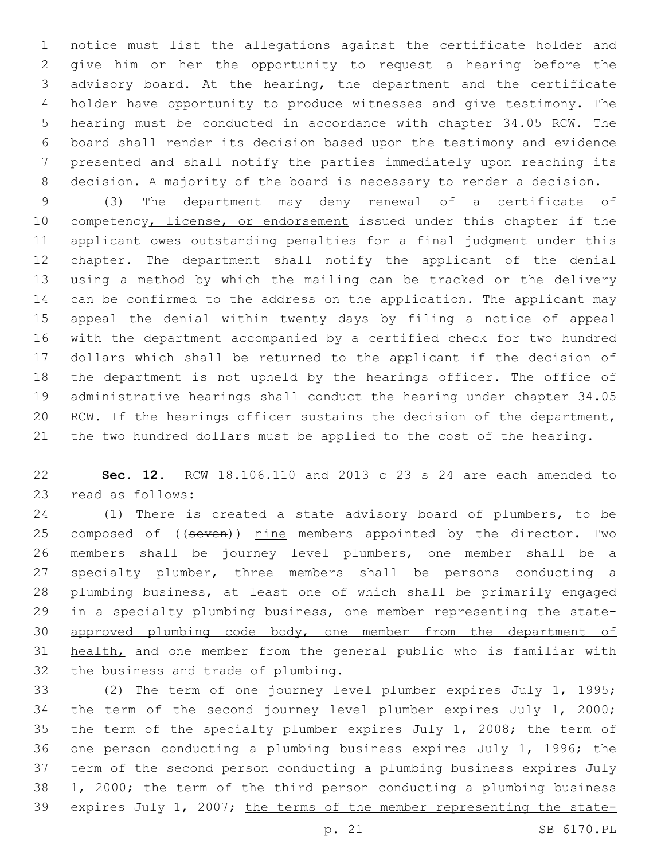notice must list the allegations against the certificate holder and give him or her the opportunity to request a hearing before the advisory board. At the hearing, the department and the certificate holder have opportunity to produce witnesses and give testimony. The hearing must be conducted in accordance with chapter 34.05 RCW. The board shall render its decision based upon the testimony and evidence presented and shall notify the parties immediately upon reaching its decision. A majority of the board is necessary to render a decision.

 (3) The department may deny renewal of a certificate of 10 competency, license, or endorsement issued under this chapter if the applicant owes outstanding penalties for a final judgment under this chapter. The department shall notify the applicant of the denial using a method by which the mailing can be tracked or the delivery can be confirmed to the address on the application. The applicant may appeal the denial within twenty days by filing a notice of appeal with the department accompanied by a certified check for two hundred dollars which shall be returned to the applicant if the decision of the department is not upheld by the hearings officer. The office of administrative hearings shall conduct the hearing under chapter 34.05 RCW. If the hearings officer sustains the decision of the department, the two hundred dollars must be applied to the cost of the hearing.

 **Sec. 12.** RCW 18.106.110 and 2013 c 23 s 24 are each amended to 23 read as follows:

 (1) There is created a state advisory board of plumbers, to be 25 composed of ((seven)) nine members appointed by the director. Two members shall be journey level plumbers, one member shall be a specialty plumber, three members shall be persons conducting a plumbing business, at least one of which shall be primarily engaged in a specialty plumbing business, one member representing the state- approved plumbing code body, one member from the department of 31 health, and one member from the general public who is familiar with 32 the business and trade of plumbing.

 (2) The term of one journey level plumber expires July 1, 1995; the term of the second journey level plumber expires July 1, 2000; the term of the specialty plumber expires July 1, 2008; the term of one person conducting a plumbing business expires July 1, 1996; the term of the second person conducting a plumbing business expires July 1, 2000; the term of the third person conducting a plumbing business expires July 1, 2007; the terms of the member representing the state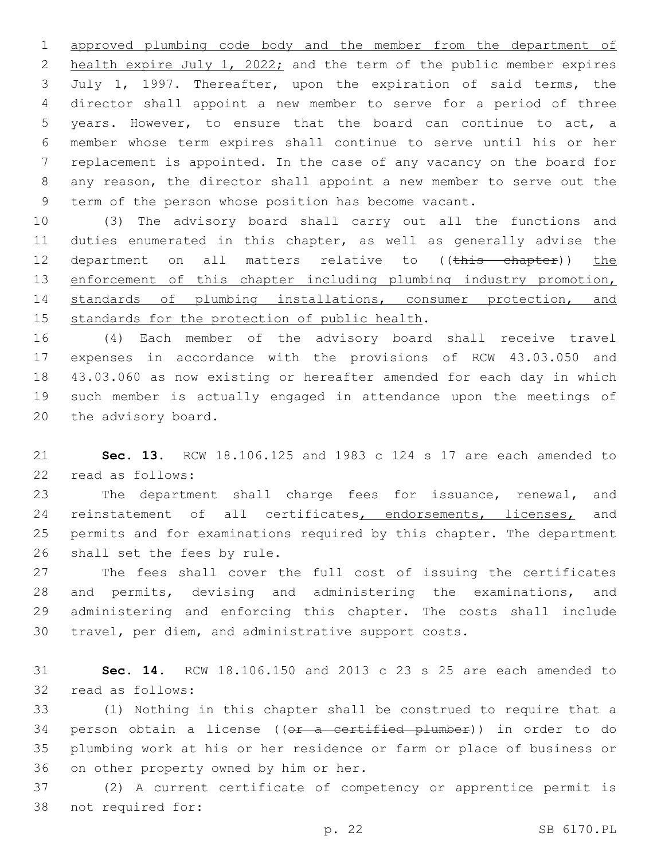approved plumbing code body and the member from the department of 2 health expire July 1, 2022; and the term of the public member expires July 1, 1997. Thereafter, upon the expiration of said terms, the director shall appoint a new member to serve for a period of three years. However, to ensure that the board can continue to act, a member whose term expires shall continue to serve until his or her replacement is appointed. In the case of any vacancy on the board for any reason, the director shall appoint a new member to serve out the term of the person whose position has become vacant.

 (3) The advisory board shall carry out all the functions and duties enumerated in this chapter, as well as generally advise the 12 department on all matters relative to ((this chapter)) the 13 enforcement of this chapter including plumbing industry promotion, standards of plumbing installations, consumer protection, and 15 standards for the protection of public health.

 (4) Each member of the advisory board shall receive travel expenses in accordance with the provisions of RCW 43.03.050 and 43.03.060 as now existing or hereafter amended for each day in which such member is actually engaged in attendance upon the meetings of 20 the advisory board.

 **Sec. 13.** RCW 18.106.125 and 1983 c 124 s 17 are each amended to 22 read as follows:

 The department shall charge fees for issuance, renewal, and 24 reinstatement of all certificates, endorsements, licenses, and permits and for examinations required by this chapter. The department 26 shall set the fees by rule.

 The fees shall cover the full cost of issuing the certificates and permits, devising and administering the examinations, and administering and enforcing this chapter. The costs shall include travel, per diem, and administrative support costs.

 **Sec. 14.** RCW 18.106.150 and 2013 c 23 s 25 are each amended to 32 read as follows:

 (1) Nothing in this chapter shall be construed to require that a 34 person obtain a license ((or a certified plumber)) in order to do plumbing work at his or her residence or farm or place of business or 36 on other property owned by him or her.

 (2) A current certificate of competency or apprentice permit is 38 not required for: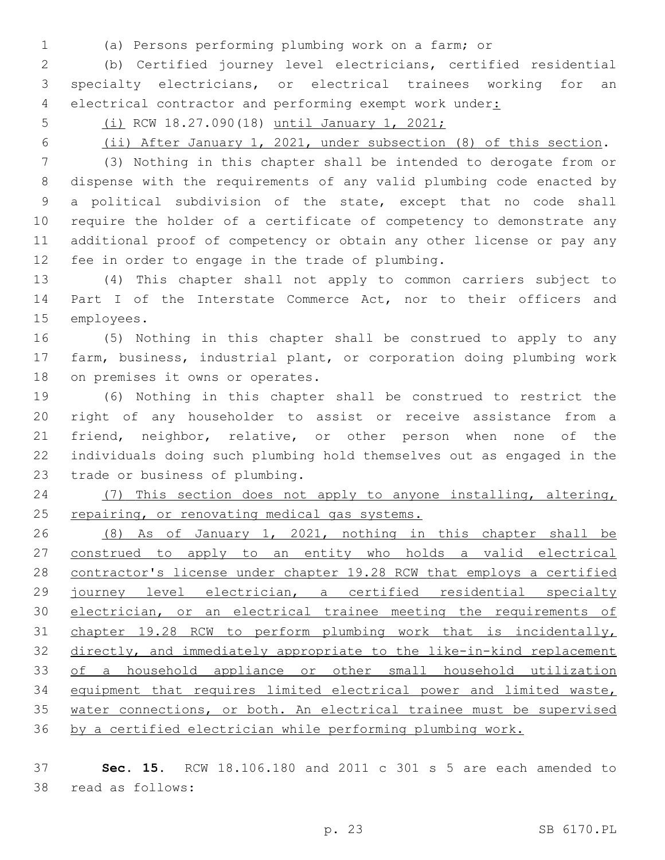- 
- (a) Persons performing plumbing work on a farm; or

 (b) Certified journey level electricians, certified residential specialty electricians, or electrical trainees working for an 4 electrical contractor and performing exempt work under:

- (i) RCW 18.27.090(18) until January 1, 2021;
- 

(ii) After January 1, 2021, under subsection (8) of this section.

 (3) Nothing in this chapter shall be intended to derogate from or dispense with the requirements of any valid plumbing code enacted by a political subdivision of the state, except that no code shall require the holder of a certificate of competency to demonstrate any additional proof of competency or obtain any other license or pay any 12 fee in order to engage in the trade of plumbing.

 (4) This chapter shall not apply to common carriers subject to 14 Part I of the Interstate Commerce Act, nor to their officers and 15 employees.

 (5) Nothing in this chapter shall be construed to apply to any farm, business, industrial plant, or corporation doing plumbing work 18 on premises it owns or operates.

 (6) Nothing in this chapter shall be construed to restrict the right of any householder to assist or receive assistance from a friend, neighbor, relative, or other person when none of the individuals doing such plumbing hold themselves out as engaged in the 23 trade or business of plumbing.

 (7) This section does not apply to anyone installing, altering, 25 repairing, or renovating medical gas systems.

 (8) As of January 1, 2021, nothing in this chapter shall be construed to apply to an entity who holds a valid electrical contractor's license under chapter 19.28 RCW that employs a certified journey level electrician, a certified residential specialty 30 electrician, or an electrical trainee meeting the requirements of chapter 19.28 RCW to perform plumbing work that is incidentally, directly, and immediately appropriate to the like-in-kind replacement of a household appliance or other small household utilization equipment that requires limited electrical power and limited waste, water connections, or both. An electrical trainee must be supervised by a certified electrician while performing plumbing work.

 **Sec. 15.** RCW 18.106.180 and 2011 c 301 s 5 are each amended to 38 read as follows: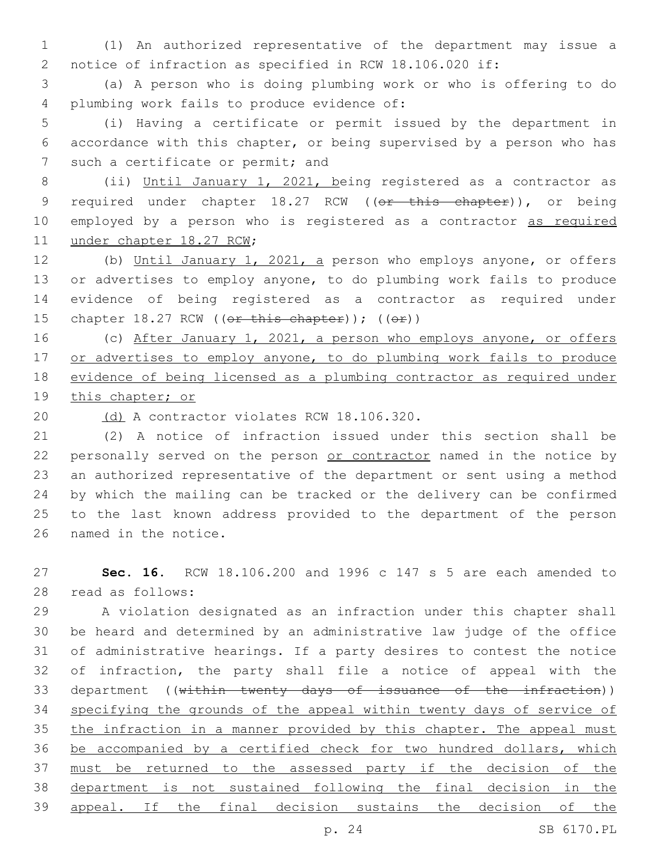1 (1) An authorized representative of the department may issue a 2 notice of infraction as specified in RCW 18.106.020 if:

3 (a) A person who is doing plumbing work or who is offering to do 4 plumbing work fails to produce evidence of:

5 (i) Having a certificate or permit issued by the department in 6 accordance with this chapter, or being supervised by a person who has 7 such a certificate or permit; and

8 (ii) Until January 1, 2021, being registered as a contractor as 9 required under chapter 18.27 RCW ((or this chapter)), or being 10 employed by a person who is registered as a contractor as required 11 under chapter 18.27 RCW;

 (b) Until January 1, 2021, a person who employs anyone, or offers or advertises to employ anyone, to do plumbing work fails to produce evidence of being registered as a contractor as required under 15 chapter  $18.27$  RCW (( $er$  this chapter)); ( $(e \cdot r)$ )

16 (c) After January 1, 2021, a person who employs anyone, or offers 17 or advertises to employ anyone, to do plumbing work fails to produce 18 evidence of being licensed as a plumbing contractor as required under 19 this chapter; or

20 (d) A contractor violates RCW 18.106.320.

 (2) A notice of infraction issued under this section shall be 22 personally served on the person or contractor named in the notice by an authorized representative of the department or sent using a method by which the mailing can be tracked or the delivery can be confirmed to the last known address provided to the department of the person 26 named in the notice.

27 **Sec. 16.** RCW 18.106.200 and 1996 c 147 s 5 are each amended to 28 read as follows:

 A violation designated as an infraction under this chapter shall be heard and determined by an administrative law judge of the office of administrative hearings. If a party desires to contest the notice of infraction, the party shall file a notice of appeal with the 33 department ((within twenty days of issuance of the infraction)) 34 specifying the grounds of the appeal within twenty days of service of 35 the infraction in a manner provided by this chapter. The appeal must be accompanied by a certified check for two hundred dollars, which must be returned to the assessed party if the decision of the department is not sustained following the final decision in the appeal. If the final decision sustains the decision of the

p. 24 SB 6170.PL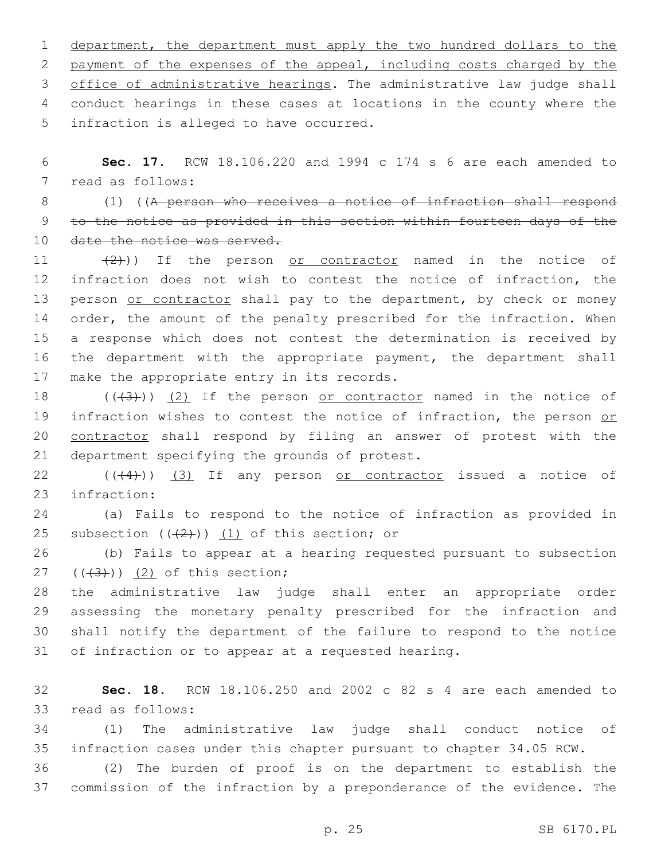department, the department must apply the two hundred dollars to the payment of the expenses of the appeal, including costs charged by the office of administrative hearings. The administrative law judge shall conduct hearings in these cases at locations in the county where the 5 infraction is alleged to have occurred.

6 **Sec. 17.** RCW 18.106.220 and 1994 c 174 s 6 are each amended to 7 read as follows:

8 (1) ((A person who receives a notice of infraction shall respond 9 to the notice as provided in this section within fourteen days of the 10 date the notice was served.

11  $(2)$ )) If the person <u>or contractor</u> named in the notice of 12 infraction does not wish to contest the notice of infraction, the 13 person or contractor shall pay to the department, by check or money 14 order, the amount of the penalty prescribed for the infraction. When 15 a response which does not contest the determination is received by 16 the department with the appropriate payment, the department shall 17 make the appropriate entry in its records.

18  $((+3+))$   $(2)$  If the person or contractor named in the notice of 19 infraction wishes to contest the notice of infraction, the person or 20 contractor shall respond by filing an answer of protest with the 21 department specifying the grounds of protest.

22 (((4))) (3) If any person or contractor issued a notice of 23 infraction:

24 (a) Fails to respond to the notice of infraction as provided in 25 subsection  $((2+))$   $(1)$  of this section; or

26 (b) Fails to appear at a hearing requested pursuant to subsection  $(43)$ )  $(2)$  of this section;

 the administrative law judge shall enter an appropriate order assessing the monetary penalty prescribed for the infraction and shall notify the department of the failure to respond to the notice of infraction or to appear at a requested hearing.

32 **Sec. 18.** RCW 18.106.250 and 2002 c 82 s 4 are each amended to 33 read as follows:

34 (1) The administrative law judge shall conduct notice of 35 infraction cases under this chapter pursuant to chapter 34.05 RCW.

36 (2) The burden of proof is on the department to establish the 37 commission of the infraction by a preponderance of the evidence. The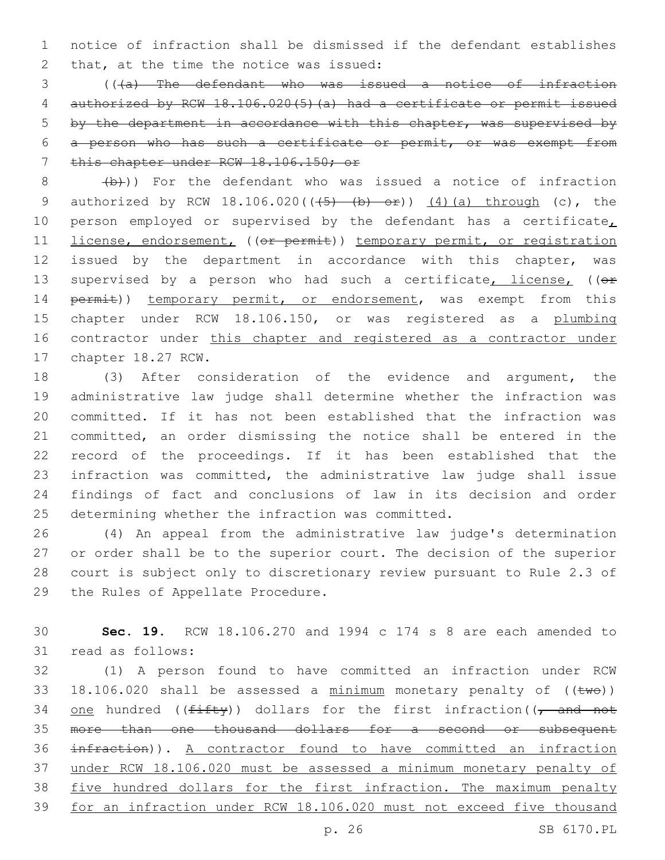1 notice of infraction shall be dismissed if the defendant establishes 2 that, at the time the notice was issued:

 (((a) The defendant who was issued a notice of infraction authorized by RCW 18.106.020(5)(a) had a certificate or permit issued by the department in accordance with this chapter, was supervised by a person who has such a certificate or permit, or was exempt from 7 this chapter under RCW 18.106.150; or

 $8$   $\left(\frac{b}{b}\right)$ ) For the defendant who was issued a notice of infraction 9 authorized by RCW  $18.106.020((\frac{5}{6}) - \frac{b}{6}) - \frac{2}{1})$  (4)(a) through (c), the 10 person employed or supervised by the defendant has a certificate, 11 license, endorsement, ((or permit)) temporary permit, or registration 12 issued by the department in accordance with this chapter, was 13 supervised by a person who had such a certificate, license, ((or 14 permit)) temporary permit, or endorsement, was exempt from this 15 chapter under RCW 18.106.150, or was registered as a plumbing 16 contractor under this chapter and registered as a contractor under 17 chapter 18.27 RCW.

 (3) After consideration of the evidence and argument, the administrative law judge shall determine whether the infraction was committed. If it has not been established that the infraction was committed, an order dismissing the notice shall be entered in the record of the proceedings. If it has been established that the infraction was committed, the administrative law judge shall issue findings of fact and conclusions of law in its decision and order 25 determining whether the infraction was committed.

 (4) An appeal from the administrative law judge's determination or order shall be to the superior court. The decision of the superior court is subject only to discretionary review pursuant to Rule 2.3 of 29 the Rules of Appellate Procedure.

30 **Sec. 19.** RCW 18.106.270 and 1994 c 174 s 8 are each amended to 31 read as follows:

 (1) A person found to have committed an infraction under RCW 33 18.106.020 shall be assessed a  $minimum$  monetary penalty of (( $t$ we)) 34 one hundred (( $f$ ifty)) dollars for the first infraction(( $\tau$  and not more than one thousand dollars for a second or subsequent infraction)). A contractor found to have committed an infraction under RCW 18.106.020 must be assessed a minimum monetary penalty of 38 five hundred dollars for the first infraction. The maximum penalty for an infraction under RCW 18.106.020 must not exceed five thousand

p. 26 SB 6170.PL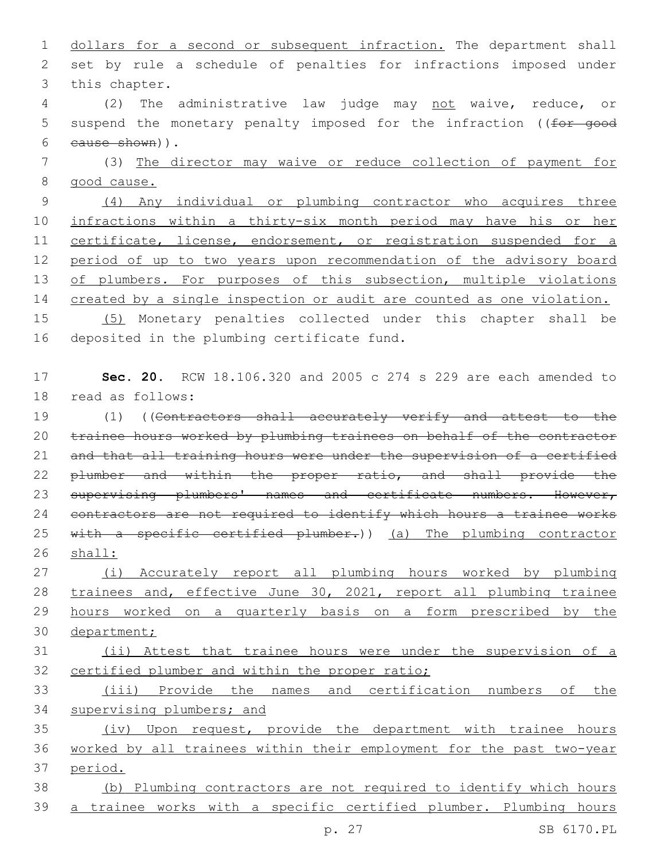1 dollars for a second or subsequent infraction. The department shall 2 set by rule a schedule of penalties for infractions imposed under 3 this chapter.

4 (2) The administrative law judge may not waive, reduce, or 5 suspend the monetary penalty imposed for the infraction ((for good cause shown)).6

7 (3) The director may waive or reduce collection of payment for 8 good cause.

9 (4) Any individual or plumbing contractor who acquires three 10 infractions within a thirty-six month period may have his or her 11 certificate, license, endorsement, or registration suspended for a 12 period of up to two years upon recommendation of the advisory board 13 of plumbers. For purposes of this subsection, multiple violations 14 created by a single inspection or audit are counted as one violation.

15 (5) Monetary penalties collected under this chapter shall be 16 deposited in the plumbing certificate fund.

## 17 **Sec. 20.** RCW 18.106.320 and 2005 c 274 s 229 are each amended to 18 read as follows:

19 (1) ((Contractors shall accurately verify and attest to the 20 trainee hours worked by plumbing trainees on behalf of the contractor 21 and that all training hours were under the supervision of a certified 22 plumber and within the proper ratio, and shall provide the 23 supervising plumbers' names and certificate numbers. However, 24 contractors are not required to identify which hours a trainee works 25 with a specific certified plumber.)) (a) The plumbing contractor 26 shall:

 (i) Accurately report all plumbing hours worked by plumbing trainees and, effective June 30, 2021, report all plumbing trainee hours worked on a quarterly basis on a form prescribed by the department;

# 31 (ii) Attest that trainee hours were under the supervision of a 32 certified plumber and within the proper ratio;

33 (iii) Provide the names and certification numbers of the 34 supervising plumbers; and

35 (iv) Upon request, provide the department with trainee hours 36 worked by all trainees within their employment for the past two-year 37 period.

38 (b) Plumbing contractors are not required to identify which hours 39 a trainee works with a specific certified plumber. Plumbing hours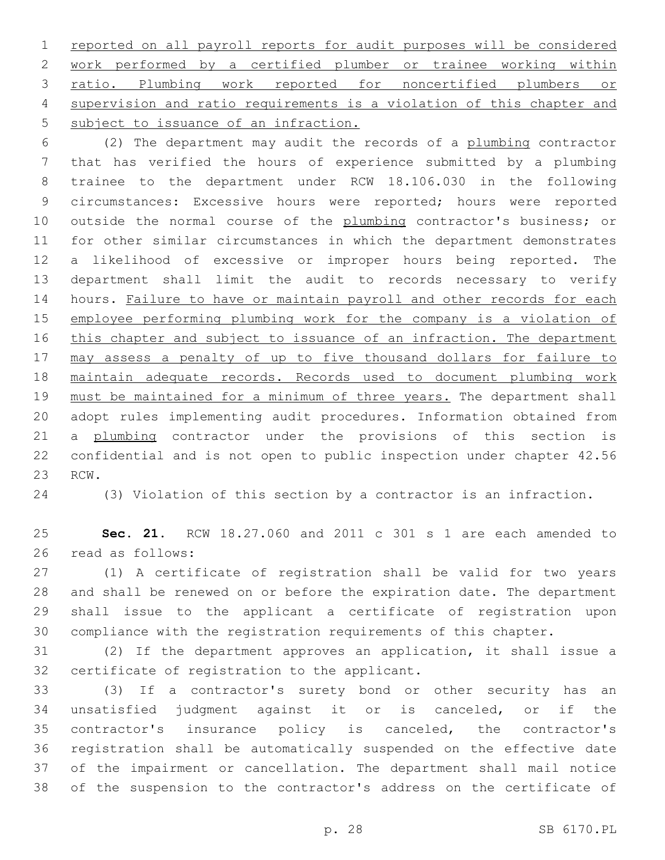reported on all payroll reports for audit purposes will be considered work performed by a certified plumber or trainee working within ratio. Plumbing work reported for noncertified plumbers or supervision and ratio requirements is a violation of this chapter and 5 subject to issuance of an infraction.

 (2) The department may audit the records of a plumbing contractor that has verified the hours of experience submitted by a plumbing trainee to the department under RCW 18.106.030 in the following circumstances: Excessive hours were reported; hours were reported 10 outside the normal course of the plumbing contractor's business; or for other similar circumstances in which the department demonstrates a likelihood of excessive or improper hours being reported. The department shall limit the audit to records necessary to verify 14 hours. Failure to have or maintain payroll and other records for each employee performing plumbing work for the company is a violation of 16 this chapter and subject to issuance of an infraction. The department may assess a penalty of up to five thousand dollars for failure to maintain adequate records. Records used to document plumbing work 19 must be maintained for a minimum of three years. The department shall adopt rules implementing audit procedures. Information obtained from 21 a plumbing contractor under the provisions of this section is confidential and is not open to public inspection under chapter 42.56 23 RCW.

(3) Violation of this section by a contractor is an infraction.

 **Sec. 21.** RCW 18.27.060 and 2011 c 301 s 1 are each amended to 26 read as follows:

 (1) A certificate of registration shall be valid for two years and shall be renewed on or before the expiration date. The department shall issue to the applicant a certificate of registration upon compliance with the registration requirements of this chapter.

 (2) If the department approves an application, it shall issue a 32 certificate of registration to the applicant.

 (3) If a contractor's surety bond or other security has an unsatisfied judgment against it or is canceled, or if the contractor's insurance policy is canceled, the contractor's registration shall be automatically suspended on the effective date of the impairment or cancellation. The department shall mail notice of the suspension to the contractor's address on the certificate of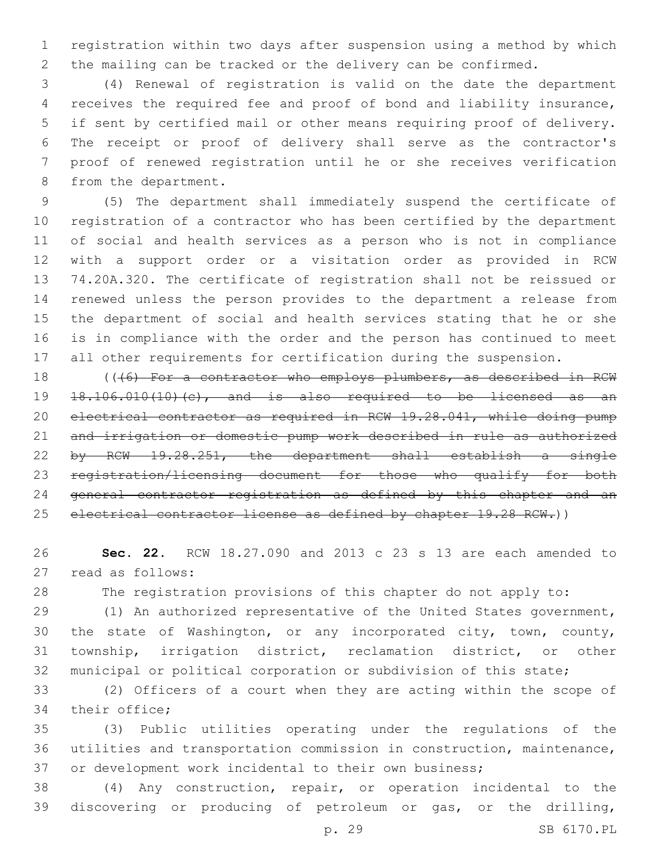registration within two days after suspension using a method by which the mailing can be tracked or the delivery can be confirmed.

 (4) Renewal of registration is valid on the date the department receives the required fee and proof of bond and liability insurance, if sent by certified mail or other means requiring proof of delivery. The receipt or proof of delivery shall serve as the contractor's proof of renewed registration until he or she receives verification 8 from the department.

 (5) The department shall immediately suspend the certificate of registration of a contractor who has been certified by the department of social and health services as a person who is not in compliance with a support order or a visitation order as provided in RCW 74.20A.320. The certificate of registration shall not be reissued or renewed unless the person provides to the department a release from the department of social and health services stating that he or she is in compliance with the order and the person has continued to meet all other requirements for certification during the suspension.

18 (((6) For a contractor who employs plumbers, as described in RCW 18.106.010(10)(c), and is also required to be licensed as an electrical contractor as required in RCW 19.28.041, while doing pump and irrigation or domestic pump work described in rule as authorized by RCW 19.28.251, the department shall establish a single registration/licensing document for those who qualify for both general contractor registration as defined by this chapter and an 25 electrical contractor license as defined by chapter 19.28 RCW.))

 **Sec. 22.** RCW 18.27.090 and 2013 c 23 s 13 are each amended to 27 read as follows:

The registration provisions of this chapter do not apply to:

 (1) An authorized representative of the United States government, the state of Washington, or any incorporated city, town, county, township, irrigation district, reclamation district, or other municipal or political corporation or subdivision of this state;

 (2) Officers of a court when they are acting within the scope of 34 their office;

 (3) Public utilities operating under the regulations of the utilities and transportation commission in construction, maintenance, or development work incidental to their own business;

 (4) Any construction, repair, or operation incidental to the discovering or producing of petroleum or gas, or the drilling,

p. 29 SB 6170.PL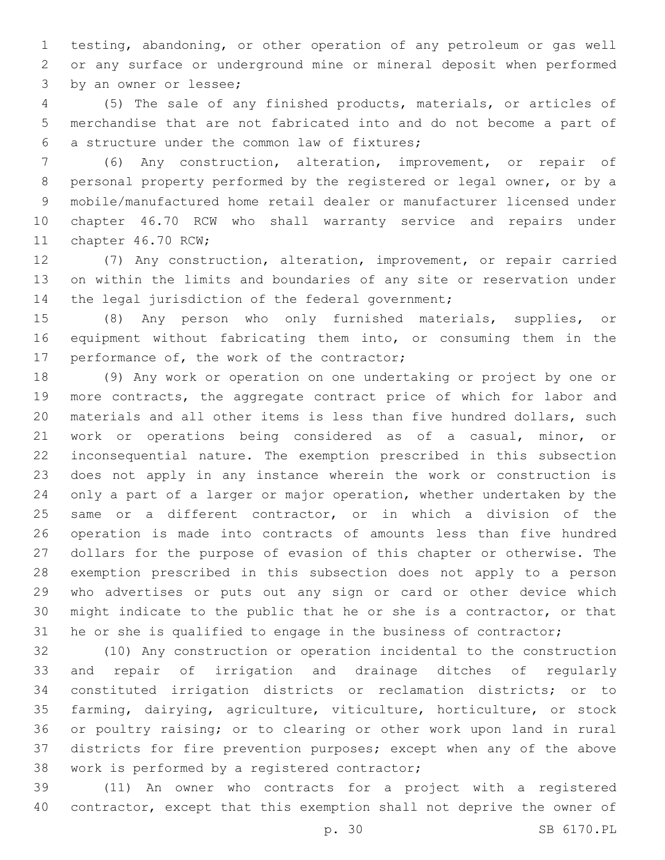testing, abandoning, or other operation of any petroleum or gas well or any surface or underground mine or mineral deposit when performed 3 by an owner or lessee;

 (5) The sale of any finished products, materials, or articles of merchandise that are not fabricated into and do not become a part of a structure under the common law of fixtures;6

 (6) Any construction, alteration, improvement, or repair of personal property performed by the registered or legal owner, or by a mobile/manufactured home retail dealer or manufacturer licensed under chapter 46.70 RCW who shall warranty service and repairs under 11 chapter 46.70 RCW;

 (7) Any construction, alteration, improvement, or repair carried on within the limits and boundaries of any site or reservation under 14 the legal jurisdiction of the federal government;

 (8) Any person who only furnished materials, supplies, or equipment without fabricating them into, or consuming them in the 17 performance of, the work of the contractor;

 (9) Any work or operation on one undertaking or project by one or more contracts, the aggregate contract price of which for labor and materials and all other items is less than five hundred dollars, such work or operations being considered as of a casual, minor, or inconsequential nature. The exemption prescribed in this subsection does not apply in any instance wherein the work or construction is only a part of a larger or major operation, whether undertaken by the same or a different contractor, or in which a division of the operation is made into contracts of amounts less than five hundred dollars for the purpose of evasion of this chapter or otherwise. The exemption prescribed in this subsection does not apply to a person who advertises or puts out any sign or card or other device which might indicate to the public that he or she is a contractor, or that he or she is qualified to engage in the business of contractor;

 (10) Any construction or operation incidental to the construction and repair of irrigation and drainage ditches of regularly constituted irrigation districts or reclamation districts; or to farming, dairying, agriculture, viticulture, horticulture, or stock or poultry raising; or to clearing or other work upon land in rural districts for fire prevention purposes; except when any of the above 38 work is performed by a registered contractor;

 (11) An owner who contracts for a project with a registered contractor, except that this exemption shall not deprive the owner of

p. 30 SB 6170.PL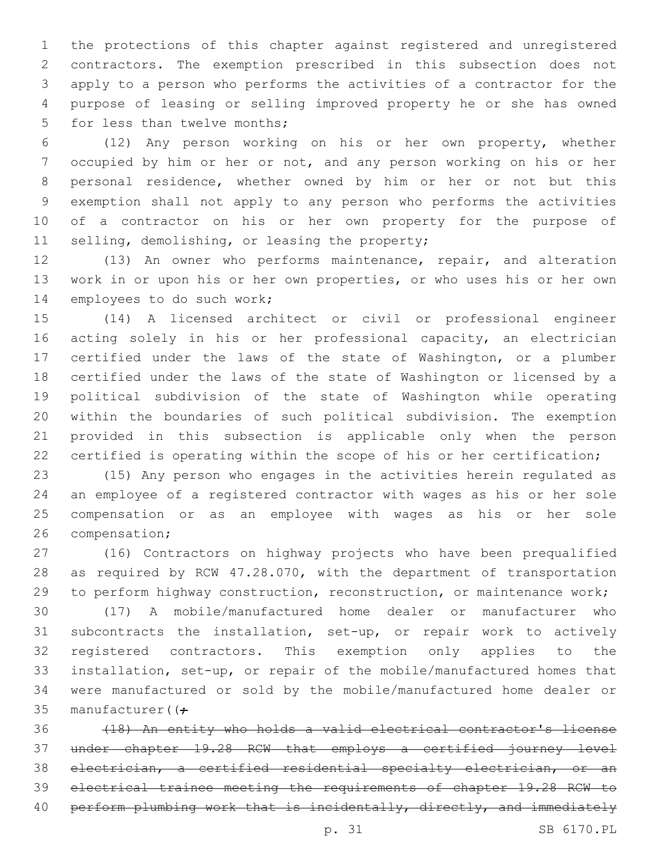the protections of this chapter against registered and unregistered contractors. The exemption prescribed in this subsection does not apply to a person who performs the activities of a contractor for the purpose of leasing or selling improved property he or she has owned 5 for less than twelve months;

 (12) Any person working on his or her own property, whether occupied by him or her or not, and any person working on his or her personal residence, whether owned by him or her or not but this exemption shall not apply to any person who performs the activities of a contractor on his or her own property for the purpose of 11 selling, demolishing, or leasing the property;

 (13) An owner who performs maintenance, repair, and alteration work in or upon his or her own properties, or who uses his or her own 14 employees to do such work;

 (14) A licensed architect or civil or professional engineer acting solely in his or her professional capacity, an electrician certified under the laws of the state of Washington, or a plumber certified under the laws of the state of Washington or licensed by a political subdivision of the state of Washington while operating within the boundaries of such political subdivision. The exemption provided in this subsection is applicable only when the person certified is operating within the scope of his or her certification;

 (15) Any person who engages in the activities herein regulated as an employee of a registered contractor with wages as his or her sole compensation or as an employee with wages as his or her sole 26 compensation;

 (16) Contractors on highway projects who have been prequalified as required by RCW 47.28.070, with the department of transportation to perform highway construction, reconstruction, or maintenance work;

 (17) A mobile/manufactured home dealer or manufacturer who subcontracts the installation, set-up, or repair work to actively registered contractors. This exemption only applies to the installation, set-up, or repair of the mobile/manufactured homes that were manufactured or sold by the mobile/manufactured home dealer or 35 manufacturer( $(f -$ 

 (18) An entity who holds a valid electrical contractor's license under chapter 19.28 RCW that employs a certified journey level electrician, a certified residential specialty electrician, or an electrical trainee meeting the requirements of chapter 19.28 RCW to 40 perform plumbing work that is incidentally, directly, and immediately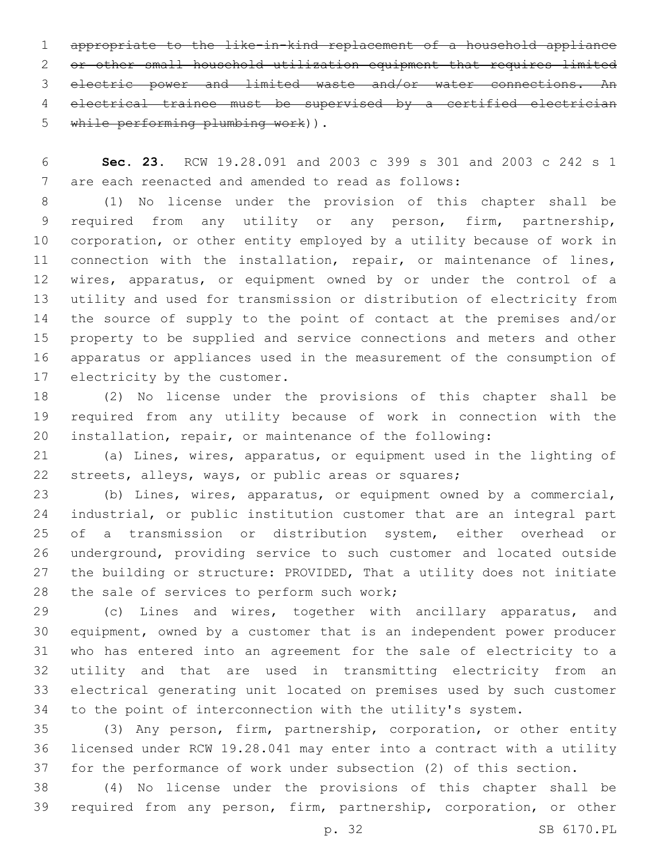appropriate to the like-in-kind replacement of a household appliance or other small household utilization equipment that requires limited electric power and limited waste and/or water connections. An electrical trainee must be supervised by a certified electrician 5 while performing plumbing work)).

 **Sec. 23.** RCW 19.28.091 and 2003 c 399 s 301 and 2003 c 242 s 1 7 are each reenacted and amended to read as follows:

 (1) No license under the provision of this chapter shall be required from any utility or any person, firm, partnership, corporation, or other entity employed by a utility because of work in connection with the installation, repair, or maintenance of lines, wires, apparatus, or equipment owned by or under the control of a utility and used for transmission or distribution of electricity from the source of supply to the point of contact at the premises and/or property to be supplied and service connections and meters and other apparatus or appliances used in the measurement of the consumption of 17 electricity by the customer.

 (2) No license under the provisions of this chapter shall be required from any utility because of work in connection with the installation, repair, or maintenance of the following:

 (a) Lines, wires, apparatus, or equipment used in the lighting of streets, alleys, ways, or public areas or squares;

 (b) Lines, wires, apparatus, or equipment owned by a commercial, industrial, or public institution customer that are an integral part of a transmission or distribution system, either overhead or underground, providing service to such customer and located outside the building or structure: PROVIDED, That a utility does not initiate 28 the sale of services to perform such work;

 (c) Lines and wires, together with ancillary apparatus, and equipment, owned by a customer that is an independent power producer who has entered into an agreement for the sale of electricity to a utility and that are used in transmitting electricity from an electrical generating unit located on premises used by such customer to the point of interconnection with the utility's system.

 (3) Any person, firm, partnership, corporation, or other entity licensed under RCW 19.28.041 may enter into a contract with a utility for the performance of work under subsection (2) of this section.

 (4) No license under the provisions of this chapter shall be required from any person, firm, partnership, corporation, or other

p. 32 SB 6170.PL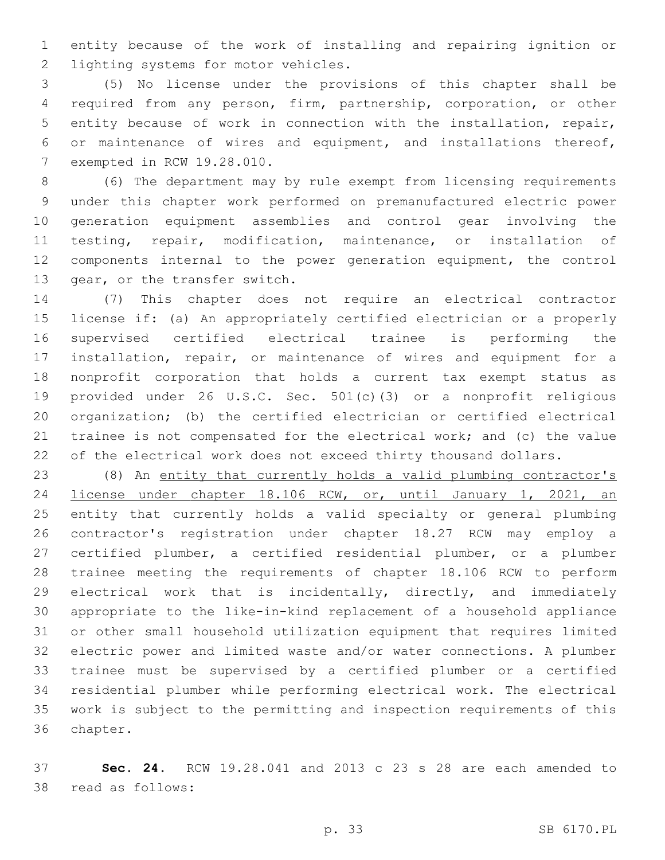entity because of the work of installing and repairing ignition or 2 lighting systems for motor vehicles.

 (5) No license under the provisions of this chapter shall be required from any person, firm, partnership, corporation, or other entity because of work in connection with the installation, repair, or maintenance of wires and equipment, and installations thereof, 7 exempted in RCW 19.28.010.

 (6) The department may by rule exempt from licensing requirements under this chapter work performed on premanufactured electric power generation equipment assemblies and control gear involving the testing, repair, modification, maintenance, or installation of components internal to the power generation equipment, the control 13 gear, or the transfer switch.

 (7) This chapter does not require an electrical contractor license if: (a) An appropriately certified electrician or a properly supervised certified electrical trainee is performing the installation, repair, or maintenance of wires and equipment for a nonprofit corporation that holds a current tax exempt status as provided under 26 U.S.C. Sec. 501(c)(3) or a nonprofit religious organization; (b) the certified electrician or certified electrical trainee is not compensated for the electrical work; and (c) the value 22 of the electrical work does not exceed thirty thousand dollars.

 (8) An entity that currently holds a valid plumbing contractor's license under chapter 18.106 RCW, or, until January 1, 2021, an entity that currently holds a valid specialty or general plumbing contractor's registration under chapter 18.27 RCW may employ a certified plumber, a certified residential plumber, or a plumber trainee meeting the requirements of chapter 18.106 RCW to perform electrical work that is incidentally, directly, and immediately appropriate to the like-in-kind replacement of a household appliance or other small household utilization equipment that requires limited electric power and limited waste and/or water connections. A plumber trainee must be supervised by a certified plumber or a certified residential plumber while performing electrical work. The electrical work is subject to the permitting and inspection requirements of this 36 chapter.

 **Sec. 24.** RCW 19.28.041 and 2013 c 23 s 28 are each amended to 38 read as follows: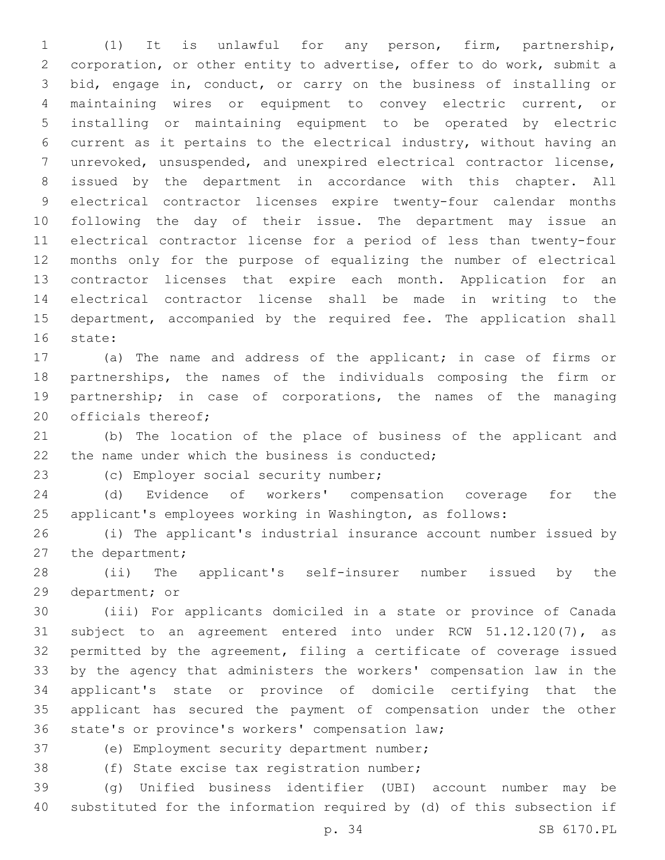(1) It is unlawful for any person, firm, partnership, corporation, or other entity to advertise, offer to do work, submit a bid, engage in, conduct, or carry on the business of installing or maintaining wires or equipment to convey electric current, or installing or maintaining equipment to be operated by electric current as it pertains to the electrical industry, without having an unrevoked, unsuspended, and unexpired electrical contractor license, issued by the department in accordance with this chapter. All electrical contractor licenses expire twenty-four calendar months following the day of their issue. The department may issue an electrical contractor license for a period of less than twenty-four months only for the purpose of equalizing the number of electrical contractor licenses that expire each month. Application for an electrical contractor license shall be made in writing to the 15 department, accompanied by the required fee. The application shall 16 state:

 (a) The name and address of the applicant; in case of firms or partnerships, the names of the individuals composing the firm or partnership; in case of corporations, the names of the managing 20 officials thereof;

 (b) The location of the place of business of the applicant and 22 the name under which the business is conducted;

23 (c) Employer social security number;

 (d) Evidence of workers' compensation coverage for the applicant's employees working in Washington, as follows:

 (i) The applicant's industrial insurance account number issued by 27 the department;

 (ii) The applicant's self-insurer number issued by the 29 department; or

 (iii) For applicants domiciled in a state or province of Canada subject to an agreement entered into under RCW 51.12.120(7), as permitted by the agreement, filing a certificate of coverage issued by the agency that administers the workers' compensation law in the applicant's state or province of domicile certifying that the applicant has secured the payment of compensation under the other 36 state's or province's workers' compensation law;

37 (e) Employment security department number;

38 (f) State excise tax registration number;

 (g) Unified business identifier (UBI) account number may be substituted for the information required by (d) of this subsection if

p. 34 SB 6170.PL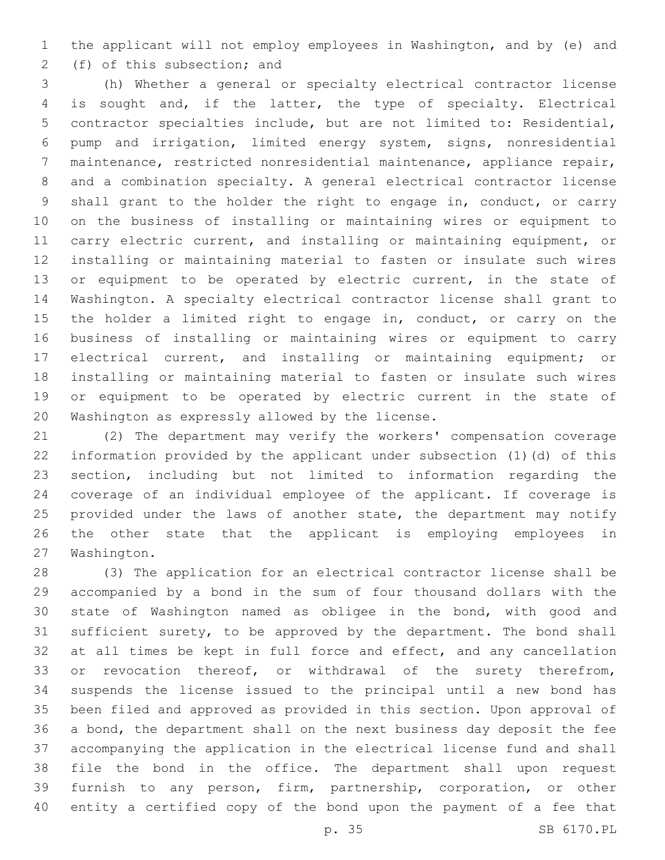the applicant will not employ employees in Washington, and by (e) and 2 (f) of this subsection; and

 (h) Whether a general or specialty electrical contractor license is sought and, if the latter, the type of specialty. Electrical contractor specialties include, but are not limited to: Residential, pump and irrigation, limited energy system, signs, nonresidential maintenance, restricted nonresidential maintenance, appliance repair, and a combination specialty. A general electrical contractor license shall grant to the holder the right to engage in, conduct, or carry on the business of installing or maintaining wires or equipment to carry electric current, and installing or maintaining equipment, or installing or maintaining material to fasten or insulate such wires 13 or equipment to be operated by electric current, in the state of Washington. A specialty electrical contractor license shall grant to the holder a limited right to engage in, conduct, or carry on the business of installing or maintaining wires or equipment to carry electrical current, and installing or maintaining equipment; or installing or maintaining material to fasten or insulate such wires or equipment to be operated by electric current in the state of 20 Washington as expressly allowed by the license.

 (2) The department may verify the workers' compensation coverage information provided by the applicant under subsection (1)(d) of this section, including but not limited to information regarding the coverage of an individual employee of the applicant. If coverage is 25 provided under the laws of another state, the department may notify the other state that the applicant is employing employees in 27 Washington.

 (3) The application for an electrical contractor license shall be accompanied by a bond in the sum of four thousand dollars with the state of Washington named as obligee in the bond, with good and sufficient surety, to be approved by the department. The bond shall 32 at all times be kept in full force and effect, and any cancellation 33 or revocation thereof, or withdrawal of the surety therefrom, suspends the license issued to the principal until a new bond has been filed and approved as provided in this section. Upon approval of a bond, the department shall on the next business day deposit the fee accompanying the application in the electrical license fund and shall file the bond in the office. The department shall upon request furnish to any person, firm, partnership, corporation, or other entity a certified copy of the bond upon the payment of a fee that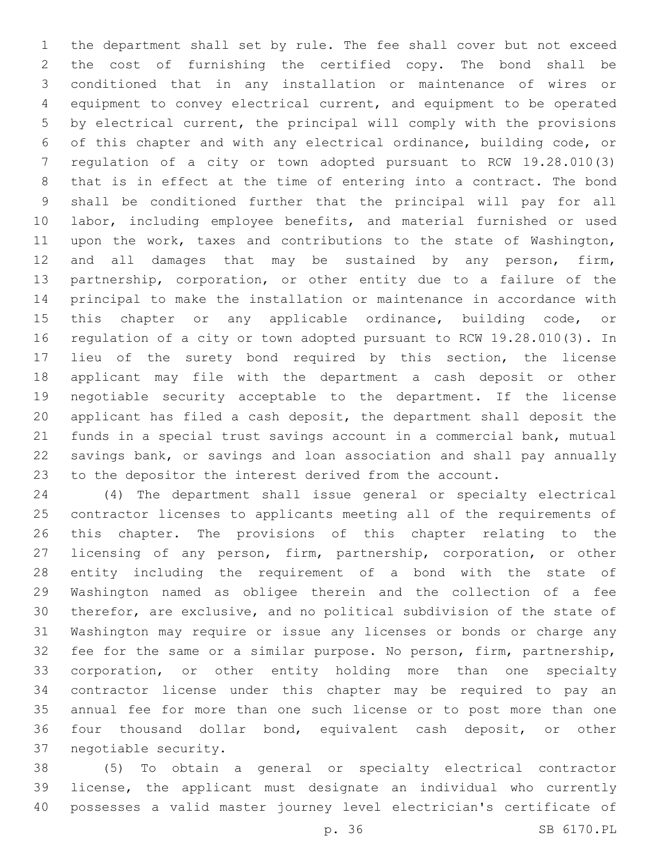the department shall set by rule. The fee shall cover but not exceed the cost of furnishing the certified copy. The bond shall be conditioned that in any installation or maintenance of wires or equipment to convey electrical current, and equipment to be operated by electrical current, the principal will comply with the provisions of this chapter and with any electrical ordinance, building code, or regulation of a city or town adopted pursuant to RCW 19.28.010(3) that is in effect at the time of entering into a contract. The bond shall be conditioned further that the principal will pay for all labor, including employee benefits, and material furnished or used upon the work, taxes and contributions to the state of Washington, 12 and all damages that may be sustained by any person, firm, partnership, corporation, or other entity due to a failure of the principal to make the installation or maintenance in accordance with 15 this chapter or any applicable ordinance, building code, or regulation of a city or town adopted pursuant to RCW 19.28.010(3). In lieu of the surety bond required by this section, the license applicant may file with the department a cash deposit or other negotiable security acceptable to the department. If the license applicant has filed a cash deposit, the department shall deposit the funds in a special trust savings account in a commercial bank, mutual savings bank, or savings and loan association and shall pay annually to the depositor the interest derived from the account.

 (4) The department shall issue general or specialty electrical contractor licenses to applicants meeting all of the requirements of this chapter. The provisions of this chapter relating to the licensing of any person, firm, partnership, corporation, or other entity including the requirement of a bond with the state of Washington named as obligee therein and the collection of a fee therefor, are exclusive, and no political subdivision of the state of Washington may require or issue any licenses or bonds or charge any fee for the same or a similar purpose. No person, firm, partnership, corporation, or other entity holding more than one specialty contractor license under this chapter may be required to pay an annual fee for more than one such license or to post more than one four thousand dollar bond, equivalent cash deposit, or other 37 negotiable security.

 (5) To obtain a general or specialty electrical contractor license, the applicant must designate an individual who currently possesses a valid master journey level electrician's certificate of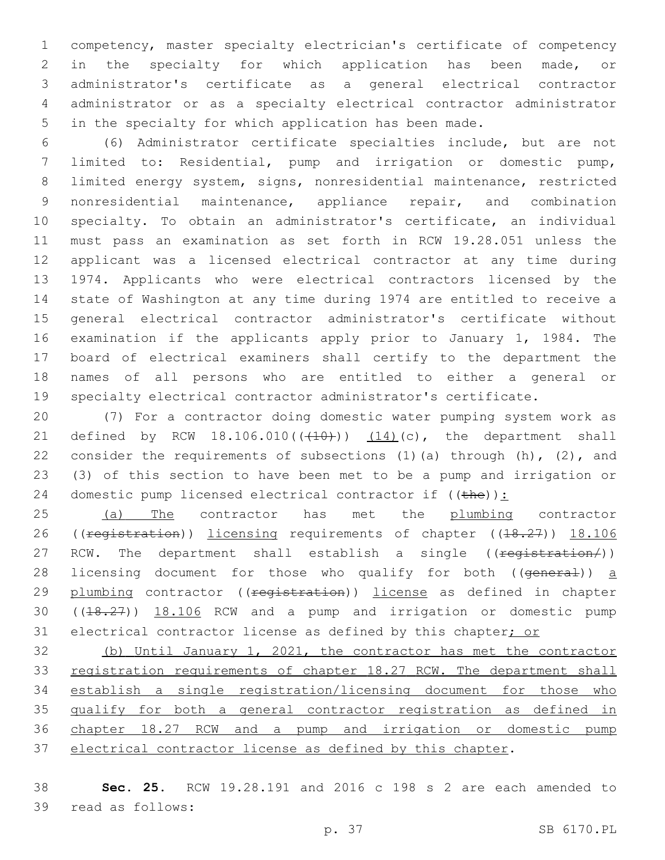competency, master specialty electrician's certificate of competency in the specialty for which application has been made, or administrator's certificate as a general electrical contractor administrator or as a specialty electrical contractor administrator in the specialty for which application has been made.

 (6) Administrator certificate specialties include, but are not limited to: Residential, pump and irrigation or domestic pump, limited energy system, signs, nonresidential maintenance, restricted nonresidential maintenance, appliance repair, and combination specialty. To obtain an administrator's certificate, an individual must pass an examination as set forth in RCW 19.28.051 unless the applicant was a licensed electrical contractor at any time during 1974. Applicants who were electrical contractors licensed by the state of Washington at any time during 1974 are entitled to receive a general electrical contractor administrator's certificate without examination if the applicants apply prior to January 1, 1984. The board of electrical examiners shall certify to the department the names of all persons who are entitled to either a general or specialty electrical contractor administrator's certificate.

 (7) For a contractor doing domestic water pumping system work as 21 defined by RCW  $18.106.010((410))$   $(14)(c)$ , the department shall 22 consider the requirements of subsections  $(1)$  (a) through  $(h)$ ,  $(2)$ , and (3) of this section to have been met to be a pump and irrigation or 24 domestic pump licensed electrical contractor if  $((the))$ :

25 (a) The contractor has met the plumbing contractor 26 ((registration)) licensing requirements of chapter ((18.27)) 18.106 27 RCW. The department shall establish a single ((registration/)) 28 licensing document for those who qualify for both ((general)) a 29 plumbing contractor ((<del>registration</del>)) license as defined in chapter ((18.27)) 18.106 RCW and a pump and irrigation or domestic pump 31 electrical contractor license as defined by this chapter; or

 (b) Until January 1, 2021, the contractor has met the contractor 33 registration requirements of chapter 18.27 RCW. The department shall establish a single registration/licensing document for those who 35 qualify for both a general contractor registration as defined in chapter 18.27 RCW and a pump and irrigation or domestic pump electrical contractor license as defined by this chapter.

 **Sec. 25.** RCW 19.28.191 and 2016 c 198 s 2 are each amended to 39 read as follows: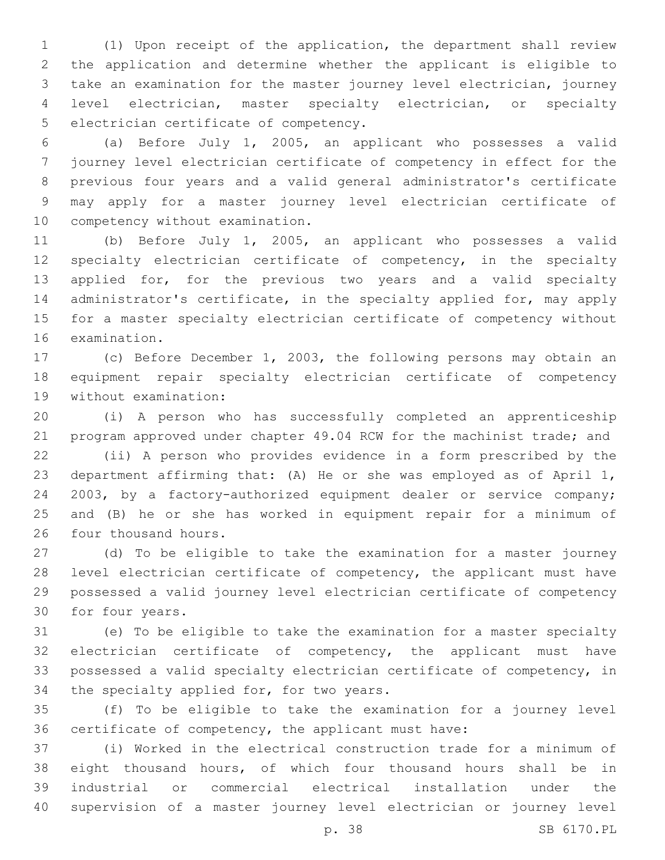(1) Upon receipt of the application, the department shall review the application and determine whether the applicant is eligible to take an examination for the master journey level electrician, journey level electrician, master specialty electrician, or specialty 5 electrician certificate of competency.

 (a) Before July 1, 2005, an applicant who possesses a valid journey level electrician certificate of competency in effect for the previous four years and a valid general administrator's certificate may apply for a master journey level electrician certificate of 10 competency without examination.

 (b) Before July 1, 2005, an applicant who possesses a valid 12 specialty electrician certificate of competency, in the specialty applied for, for the previous two years and a valid specialty 14 administrator's certificate, in the specialty applied for, may apply for a master specialty electrician certificate of competency without 16 examination.

 (c) Before December 1, 2003, the following persons may obtain an equipment repair specialty electrician certificate of competency 19 without examination:

 (i) A person who has successfully completed an apprenticeship program approved under chapter 49.04 RCW for the machinist trade; and

 (ii) A person who provides evidence in a form prescribed by the department affirming that: (A) He or she was employed as of April 1, 2003, by a factory-authorized equipment dealer or service company; and (B) he or she has worked in equipment repair for a minimum of 26 four thousand hours.

 (d) To be eligible to take the examination for a master journey level electrician certificate of competency, the applicant must have possessed a valid journey level electrician certificate of competency 30 for four years.

 (e) To be eligible to take the examination for a master specialty electrician certificate of competency, the applicant must have possessed a valid specialty electrician certificate of competency, in 34 the specialty applied for, for two years.

 (f) To be eligible to take the examination for a journey level certificate of competency, the applicant must have:

 (i) Worked in the electrical construction trade for a minimum of eight thousand hours, of which four thousand hours shall be in industrial or commercial electrical installation under the supervision of a master journey level electrician or journey level

p. 38 SB 6170.PL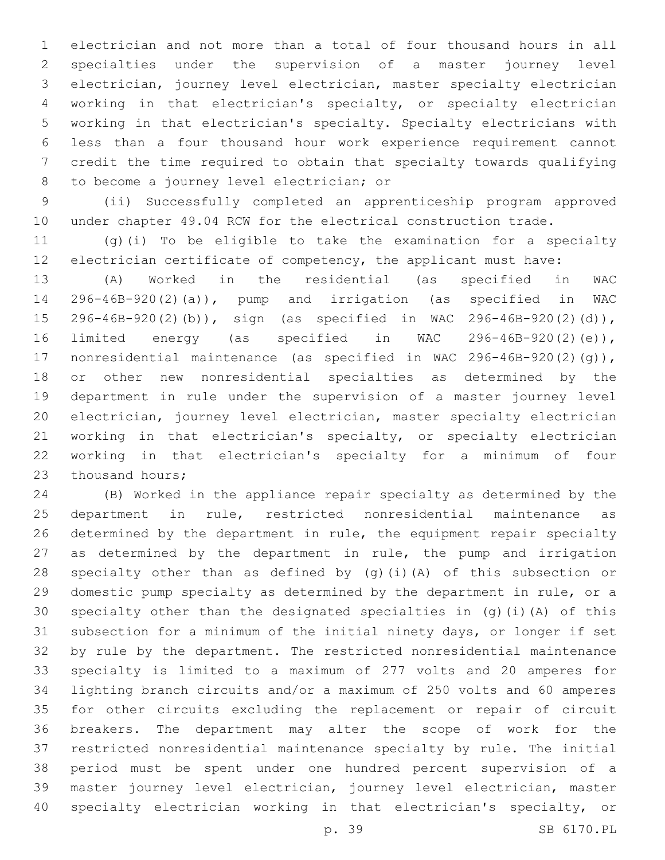electrician and not more than a total of four thousand hours in all specialties under the supervision of a master journey level electrician, journey level electrician, master specialty electrician working in that electrician's specialty, or specialty electrician working in that electrician's specialty. Specialty electricians with less than a four thousand hour work experience requirement cannot credit the time required to obtain that specialty towards qualifying 8 to become a journey level electrician; or

 (ii) Successfully completed an apprenticeship program approved under chapter 49.04 RCW for the electrical construction trade.

 (g)(i) To be eligible to take the examination for a specialty electrician certificate of competency, the applicant must have:

 (A) Worked in the residential (as specified in WAC 296-46B-920(2)(a)), pump and irrigation (as specified in WAC 296-46B-920(2)(b)), sign (as specified in WAC 296-46B-920(2)(d)), limited energy (as specified in WAC 296-46B-920(2)(e)), nonresidential maintenance (as specified in WAC 296-46B-920(2)(g)), or other new nonresidential specialties as determined by the department in rule under the supervision of a master journey level electrician, journey level electrician, master specialty electrician working in that electrician's specialty, or specialty electrician working in that electrician's specialty for a minimum of four 23 thousand hours;

 (B) Worked in the appliance repair specialty as determined by the department in rule, restricted nonresidential maintenance as determined by the department in rule, the equipment repair specialty as determined by the department in rule, the pump and irrigation specialty other than as defined by (g)(i)(A) of this subsection or domestic pump specialty as determined by the department in rule, or a specialty other than the designated specialties in (g)(i)(A) of this subsection for a minimum of the initial ninety days, or longer if set by rule by the department. The restricted nonresidential maintenance specialty is limited to a maximum of 277 volts and 20 amperes for lighting branch circuits and/or a maximum of 250 volts and 60 amperes for other circuits excluding the replacement or repair of circuit breakers. The department may alter the scope of work for the restricted nonresidential maintenance specialty by rule. The initial period must be spent under one hundred percent supervision of a master journey level electrician, journey level electrician, master specialty electrician working in that electrician's specialty, or

```
p. 39 SB 6170.PL
```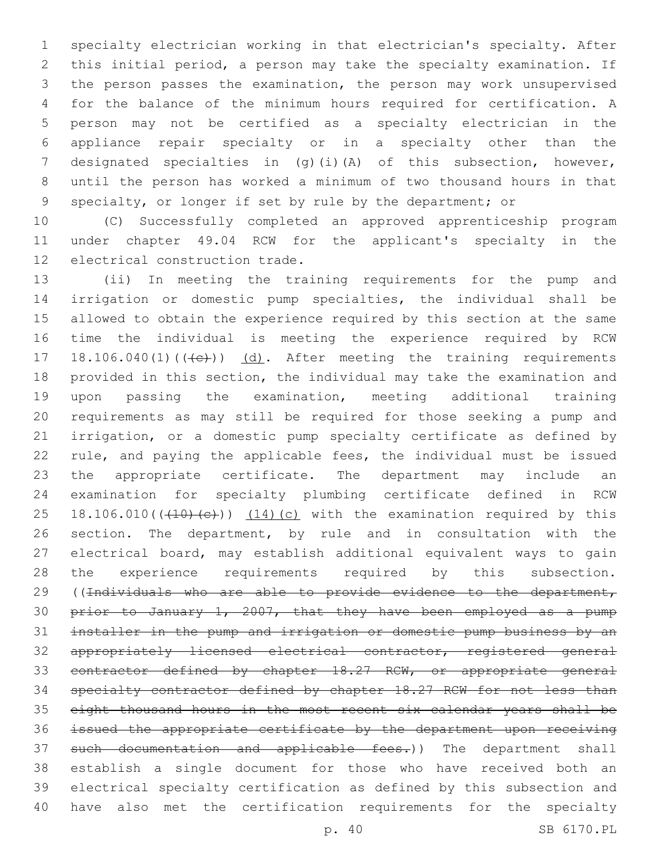specialty electrician working in that electrician's specialty. After this initial period, a person may take the specialty examination. If the person passes the examination, the person may work unsupervised for the balance of the minimum hours required for certification. A person may not be certified as a specialty electrician in the appliance repair specialty or in a specialty other than the designated specialties in (g)(i)(A) of this subsection, however, until the person has worked a minimum of two thousand hours in that specialty, or longer if set by rule by the department; or

 (C) Successfully completed an approved apprenticeship program under chapter 49.04 RCW for the applicant's specialty in the 12 electrical construction trade.

 (ii) In meeting the training requirements for the pump and irrigation or domestic pump specialties, the individual shall be allowed to obtain the experience required by this section at the same time the individual is meeting the experience required by RCW 17 18.106.040(1)(((e))) (d). After meeting the training requirements provided in this section, the individual may take the examination and upon passing the examination, meeting additional training requirements as may still be required for those seeking a pump and irrigation, or a domestic pump specialty certificate as defined by rule, and paying the applicable fees, the individual must be issued the appropriate certificate. The department may include an examination for specialty plumbing certificate defined in RCW 25 18.106.010( $(410)(e)$ ))  $(14)(c)$  with the examination required by this section. The department, by rule and in consultation with the electrical board, may establish additional equivalent ways to gain the experience requirements required by this subsection. 29 ((Individuals who are able to provide evidence to the department, prior to January 1, 2007, that they have been employed as a pump installer in the pump and irrigation or domestic pump business by an appropriately licensed electrical contractor, registered general 33 contractor defined by chapter 18.27 RCW, or appropriate general specialty contractor defined by chapter 18.27 RCW for not less than eight thousand hours in the most recent six calendar years shall be issued the appropriate certificate by the department upon receiving 37 such documentation and applicable fees.)) The department shall establish a single document for those who have received both an electrical specialty certification as defined by this subsection and have also met the certification requirements for the specialty

p. 40 SB 6170.PL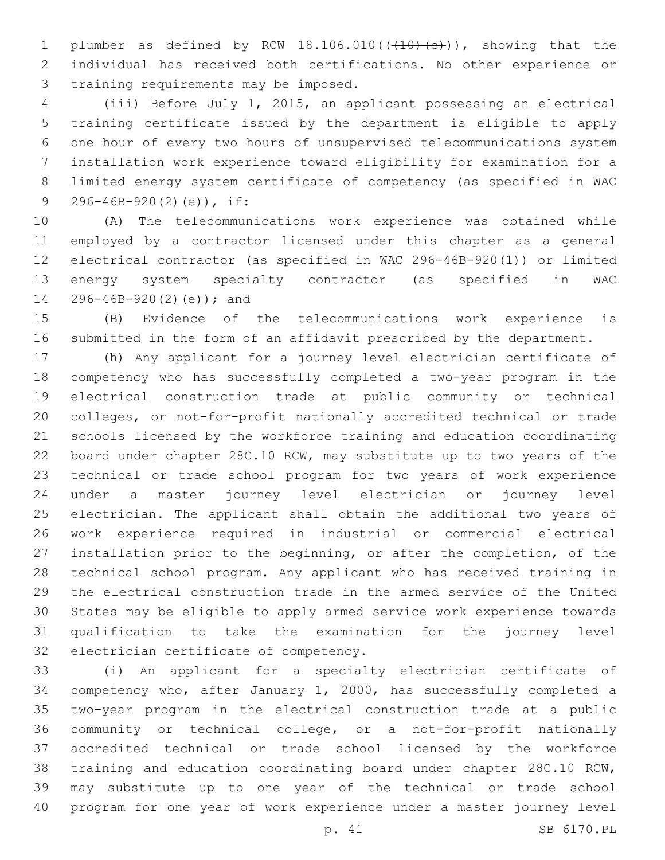1 plumber as defined by RCW  $18.106.010$  ( $(410)$   $(e)$ )), showing that the individual has received both certifications. No other experience or 3 training requirements may be imposed.

 (iii) Before July 1, 2015, an applicant possessing an electrical training certificate issued by the department is eligible to apply one hour of every two hours of unsupervised telecommunications system installation work experience toward eligibility for examination for a limited energy system certificate of competency (as specified in WAC 9 296-46B-920(2)(e)), if:

 (A) The telecommunications work experience was obtained while employed by a contractor licensed under this chapter as a general electrical contractor (as specified in WAC 296-46B-920(1)) or limited energy system specialty contractor (as specified in WAC 14 296-46B-920(2)(e)); and

 (B) Evidence of the telecommunications work experience is submitted in the form of an affidavit prescribed by the department.

 (h) Any applicant for a journey level electrician certificate of competency who has successfully completed a two-year program in the electrical construction trade at public community or technical colleges, or not-for-profit nationally accredited technical or trade schools licensed by the workforce training and education coordinating board under chapter 28C.10 RCW, may substitute up to two years of the technical or trade school program for two years of work experience under a master journey level electrician or journey level electrician. The applicant shall obtain the additional two years of work experience required in industrial or commercial electrical installation prior to the beginning, or after the completion, of the technical school program. Any applicant who has received training in the electrical construction trade in the armed service of the United States may be eligible to apply armed service work experience towards qualification to take the examination for the journey level 32 electrician certificate of competency.

 (i) An applicant for a specialty electrician certificate of competency who, after January 1, 2000, has successfully completed a two-year program in the electrical construction trade at a public community or technical college, or a not-for-profit nationally accredited technical or trade school licensed by the workforce training and education coordinating board under chapter 28C.10 RCW, may substitute up to one year of the technical or trade school program for one year of work experience under a master journey level

p. 41 SB 6170.PL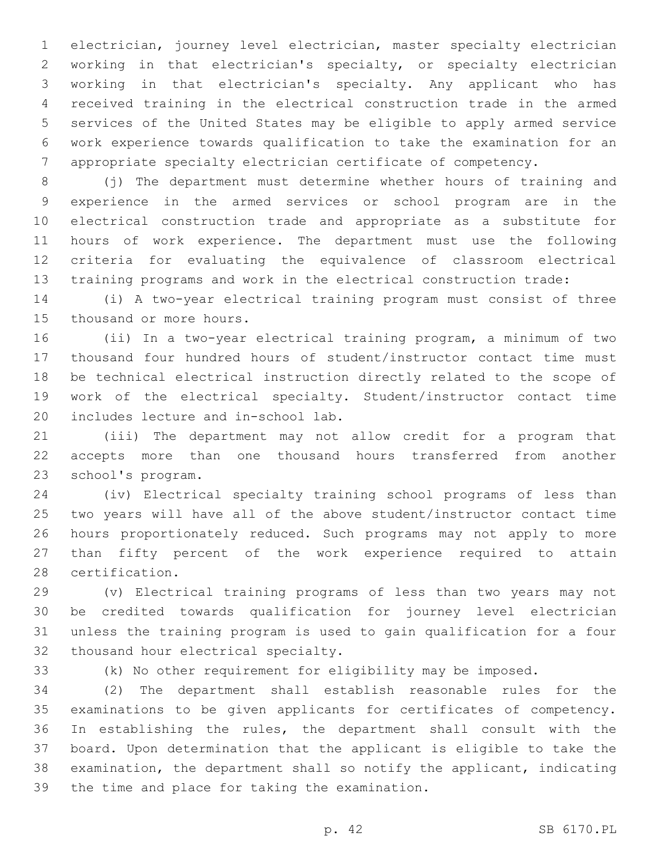electrician, journey level electrician, master specialty electrician working in that electrician's specialty, or specialty electrician working in that electrician's specialty. Any applicant who has received training in the electrical construction trade in the armed services of the United States may be eligible to apply armed service work experience towards qualification to take the examination for an appropriate specialty electrician certificate of competency.

 (j) The department must determine whether hours of training and experience in the armed services or school program are in the electrical construction trade and appropriate as a substitute for hours of work experience. The department must use the following criteria for evaluating the equivalence of classroom electrical training programs and work in the electrical construction trade:

 (i) A two-year electrical training program must consist of three 15 thousand or more hours.

 (ii) In a two-year electrical training program, a minimum of two thousand four hundred hours of student/instructor contact time must be technical electrical instruction directly related to the scope of work of the electrical specialty. Student/instructor contact time 20 includes lecture and in-school lab.

 (iii) The department may not allow credit for a program that accepts more than one thousand hours transferred from another 23 school's program.

 (iv) Electrical specialty training school programs of less than two years will have all of the above student/instructor contact time hours proportionately reduced. Such programs may not apply to more than fifty percent of the work experience required to attain 28 certification.

 (v) Electrical training programs of less than two years may not be credited towards qualification for journey level electrician unless the training program is used to gain qualification for a four 32 thousand hour electrical specialty.

(k) No other requirement for eligibility may be imposed.

 (2) The department shall establish reasonable rules for the examinations to be given applicants for certificates of competency. In establishing the rules, the department shall consult with the board. Upon determination that the applicant is eligible to take the examination, the department shall so notify the applicant, indicating 39 the time and place for taking the examination.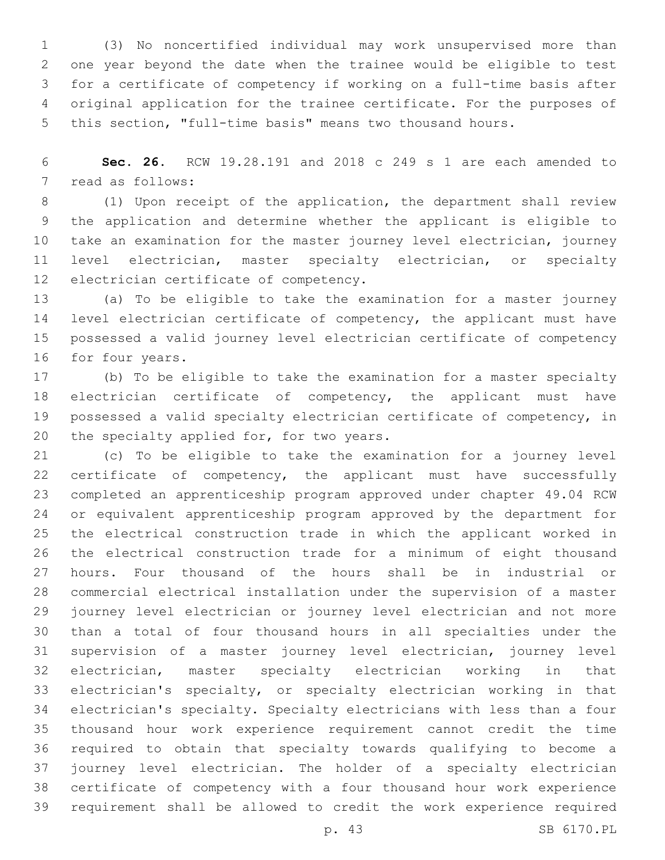(3) No noncertified individual may work unsupervised more than one year beyond the date when the trainee would be eligible to test for a certificate of competency if working on a full-time basis after original application for the trainee certificate. For the purposes of this section, "full-time basis" means two thousand hours.

 **Sec. 26.** RCW 19.28.191 and 2018 c 249 s 1 are each amended to 7 read as follows:

 (1) Upon receipt of the application, the department shall review the application and determine whether the applicant is eligible to take an examination for the master journey level electrician, journey level electrician, master specialty electrician, or specialty 12 electrician certificate of competency.

 (a) To be eligible to take the examination for a master journey 14 level electrician certificate of competency, the applicant must have possessed a valid journey level electrician certificate of competency 16 for four years.

 (b) To be eligible to take the examination for a master specialty electrician certificate of competency, the applicant must have possessed a valid specialty electrician certificate of competency, in 20 the specialty applied for, for two years.

 (c) To be eligible to take the examination for a journey level certificate of competency, the applicant must have successfully completed an apprenticeship program approved under chapter 49.04 RCW or equivalent apprenticeship program approved by the department for the electrical construction trade in which the applicant worked in the electrical construction trade for a minimum of eight thousand hours. Four thousand of the hours shall be in industrial or commercial electrical installation under the supervision of a master journey level electrician or journey level electrician and not more than a total of four thousand hours in all specialties under the supervision of a master journey level electrician, journey level electrician, master specialty electrician working in that electrician's specialty, or specialty electrician working in that electrician's specialty. Specialty electricians with less than a four thousand hour work experience requirement cannot credit the time required to obtain that specialty towards qualifying to become a journey level electrician. The holder of a specialty electrician certificate of competency with a four thousand hour work experience requirement shall be allowed to credit the work experience required

p. 43 SB 6170.PL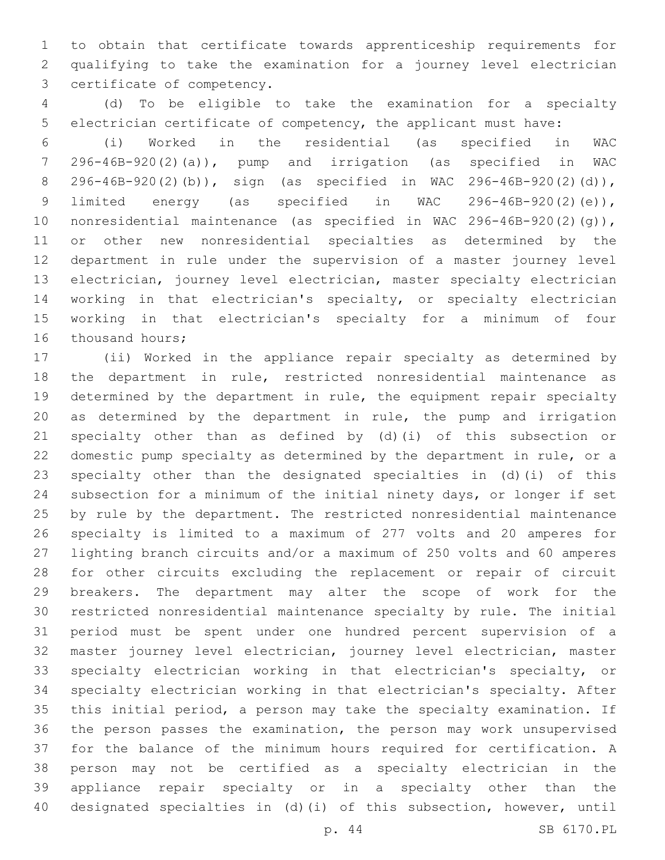to obtain that certificate towards apprenticeship requirements for qualifying to take the examination for a journey level electrician 3 certificate of competency.

 (d) To be eligible to take the examination for a specialty electrician certificate of competency, the applicant must have:

 (i) Worked in the residential (as specified in WAC 296-46B-920(2)(a)), pump and irrigation (as specified in WAC 296-46B-920(2)(b)), sign (as specified in WAC 296-46B-920(2)(d)), limited energy (as specified in WAC 296-46B-920(2)(e)), nonresidential maintenance (as specified in WAC 296-46B-920(2)(g)), or other new nonresidential specialties as determined by the department in rule under the supervision of a master journey level electrician, journey level electrician, master specialty electrician working in that electrician's specialty, or specialty electrician working in that electrician's specialty for a minimum of four 16 thousand hours;

 (ii) Worked in the appliance repair specialty as determined by the department in rule, restricted nonresidential maintenance as determined by the department in rule, the equipment repair specialty as determined by the department in rule, the pump and irrigation specialty other than as defined by (d)(i) of this subsection or domestic pump specialty as determined by the department in rule, or a specialty other than the designated specialties in (d)(i) of this subsection for a minimum of the initial ninety days, or longer if set by rule by the department. The restricted nonresidential maintenance specialty is limited to a maximum of 277 volts and 20 amperes for lighting branch circuits and/or a maximum of 250 volts and 60 amperes for other circuits excluding the replacement or repair of circuit breakers. The department may alter the scope of work for the restricted nonresidential maintenance specialty by rule. The initial period must be spent under one hundred percent supervision of a master journey level electrician, journey level electrician, master specialty electrician working in that electrician's specialty, or specialty electrician working in that electrician's specialty. After this initial period, a person may take the specialty examination. If the person passes the examination, the person may work unsupervised for the balance of the minimum hours required for certification. A person may not be certified as a specialty electrician in the appliance repair specialty or in a specialty other than the designated specialties in (d)(i) of this subsection, however, until

p. 44 SB 6170.PL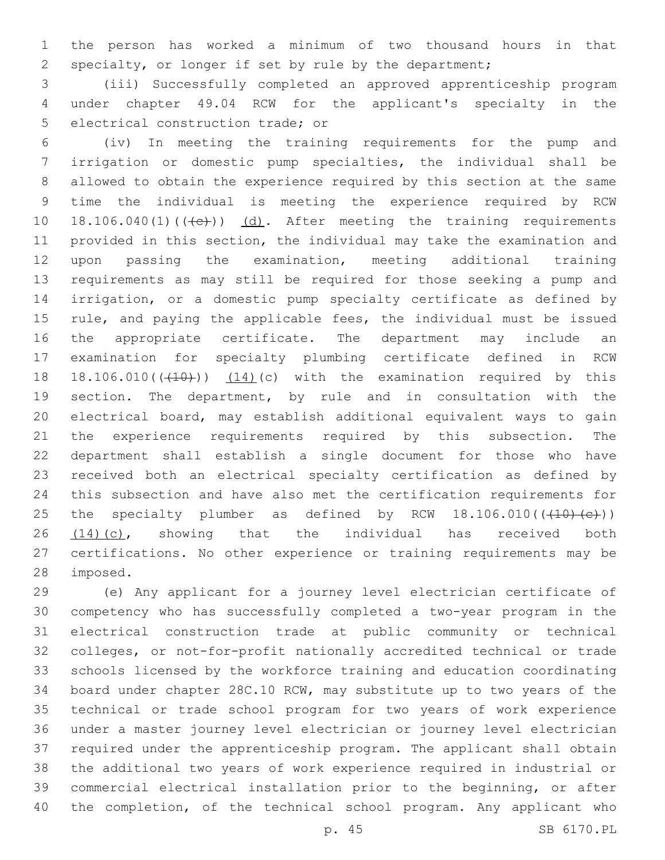the person has worked a minimum of two thousand hours in that specialty, or longer if set by rule by the department;

 (iii) Successfully completed an approved apprenticeship program under chapter 49.04 RCW for the applicant's specialty in the 5 electrical construction trade; or

 (iv) In meeting the training requirements for the pump and irrigation or domestic pump specialties, the individual shall be allowed to obtain the experience required by this section at the same time the individual is meeting the experience required by RCW 10 18.106.040(1) $((+e))$   $(d)$ . After meeting the training requirements provided in this section, the individual may take the examination and upon passing the examination, meeting additional training requirements as may still be required for those seeking a pump and irrigation, or a domestic pump specialty certificate as defined by rule, and paying the applicable fees, the individual must be issued the appropriate certificate. The department may include an examination for specialty plumbing certificate defined in RCW 18 18.106.010( $(410)$ )  $(14)$ (c) with the examination required by this section. The department, by rule and in consultation with the electrical board, may establish additional equivalent ways to gain the experience requirements required by this subsection. The department shall establish a single document for those who have received both an electrical specialty certification as defined by this subsection and have also met the certification requirements for 25 the specialty plumber as defined by RCW  $18.106.010((\text{+}10) \text{+} \text{c}))$  (14)(c), showing that the individual has received both certifications. No other experience or training requirements may be 28 imposed.

 (e) Any applicant for a journey level electrician certificate of competency who has successfully completed a two-year program in the electrical construction trade at public community or technical colleges, or not-for-profit nationally accredited technical or trade schools licensed by the workforce training and education coordinating board under chapter 28C.10 RCW, may substitute up to two years of the technical or trade school program for two years of work experience under a master journey level electrician or journey level electrician required under the apprenticeship program. The applicant shall obtain the additional two years of work experience required in industrial or commercial electrical installation prior to the beginning, or after the completion, of the technical school program. Any applicant who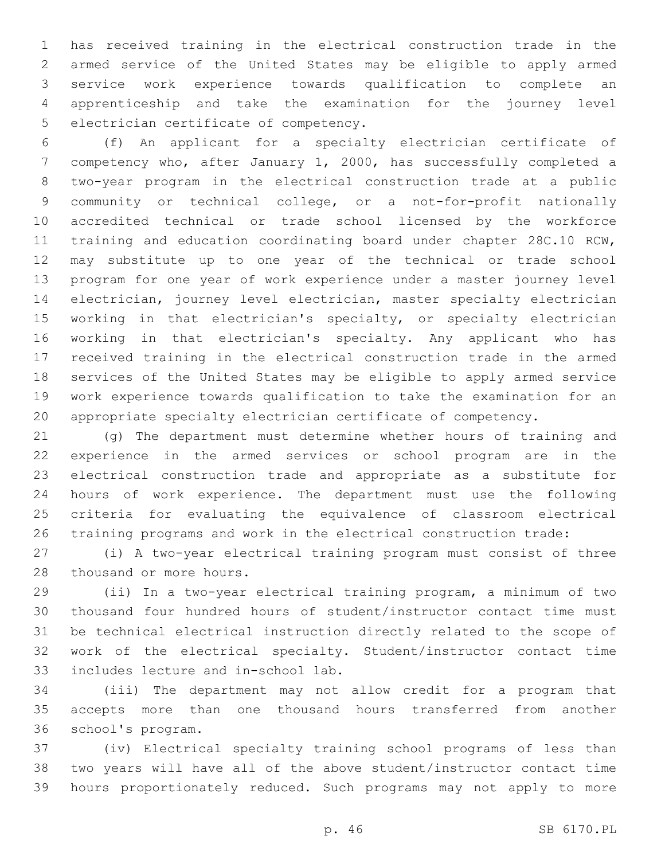has received training in the electrical construction trade in the armed service of the United States may be eligible to apply armed service work experience towards qualification to complete an apprenticeship and take the examination for the journey level 5 electrician certificate of competency.

 (f) An applicant for a specialty electrician certificate of competency who, after January 1, 2000, has successfully completed a two-year program in the electrical construction trade at a public community or technical college, or a not-for-profit nationally accredited technical or trade school licensed by the workforce training and education coordinating board under chapter 28C.10 RCW, may substitute up to one year of the technical or trade school program for one year of work experience under a master journey level electrician, journey level electrician, master specialty electrician working in that electrician's specialty, or specialty electrician working in that electrician's specialty. Any applicant who has received training in the electrical construction trade in the armed services of the United States may be eligible to apply armed service work experience towards qualification to take the examination for an appropriate specialty electrician certificate of competency.

 (g) The department must determine whether hours of training and experience in the armed services or school program are in the electrical construction trade and appropriate as a substitute for hours of work experience. The department must use the following criteria for evaluating the equivalence of classroom electrical training programs and work in the electrical construction trade:

 (i) A two-year electrical training program must consist of three 28 thousand or more hours.

 (ii) In a two-year electrical training program, a minimum of two thousand four hundred hours of student/instructor contact time must be technical electrical instruction directly related to the scope of work of the electrical specialty. Student/instructor contact time 33 includes lecture and in-school lab.

 (iii) The department may not allow credit for a program that accepts more than one thousand hours transferred from another 36 school's program.

 (iv) Electrical specialty training school programs of less than two years will have all of the above student/instructor contact time hours proportionately reduced. Such programs may not apply to more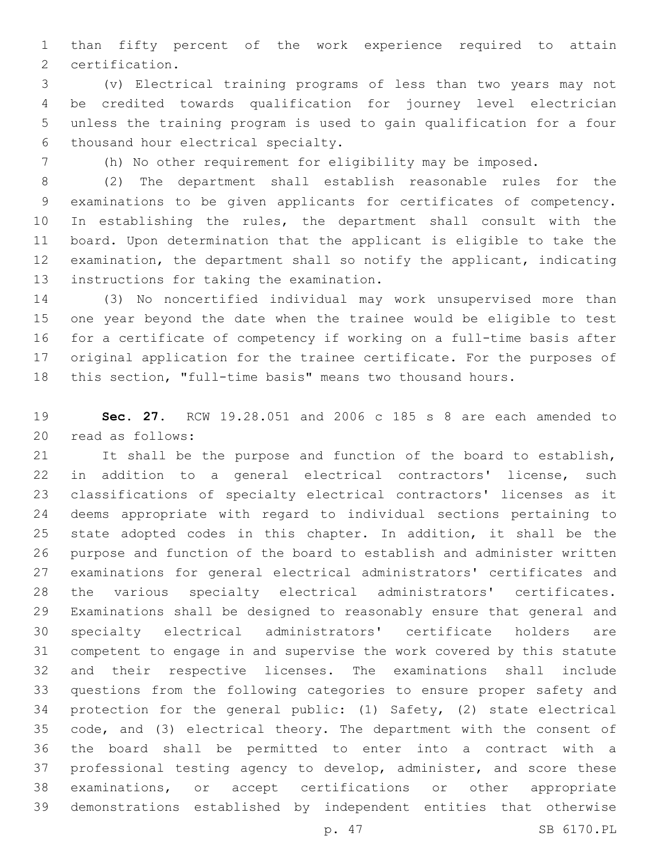than fifty percent of the work experience required to attain 2 certification.

 (v) Electrical training programs of less than two years may not be credited towards qualification for journey level electrician unless the training program is used to gain qualification for a four 6 thousand hour electrical specialty.

(h) No other requirement for eligibility may be imposed.

 (2) The department shall establish reasonable rules for the examinations to be given applicants for certificates of competency. In establishing the rules, the department shall consult with the board. Upon determination that the applicant is eligible to take the examination, the department shall so notify the applicant, indicating 13 instructions for taking the examination.

 (3) No noncertified individual may work unsupervised more than one year beyond the date when the trainee would be eligible to test for a certificate of competency if working on a full-time basis after original application for the trainee certificate. For the purposes of this section, "full-time basis" means two thousand hours.

 **Sec. 27.** RCW 19.28.051 and 2006 c 185 s 8 are each amended to 20 read as follows:

 It shall be the purpose and function of the board to establish, in addition to a general electrical contractors' license, such classifications of specialty electrical contractors' licenses as it deems appropriate with regard to individual sections pertaining to state adopted codes in this chapter. In addition, it shall be the purpose and function of the board to establish and administer written examinations for general electrical administrators' certificates and the various specialty electrical administrators' certificates. Examinations shall be designed to reasonably ensure that general and specialty electrical administrators' certificate holders are competent to engage in and supervise the work covered by this statute and their respective licenses. The examinations shall include questions from the following categories to ensure proper safety and protection for the general public: (1) Safety, (2) state electrical code, and (3) electrical theory. The department with the consent of the board shall be permitted to enter into a contract with a professional testing agency to develop, administer, and score these examinations, or accept certifications or other appropriate demonstrations established by independent entities that otherwise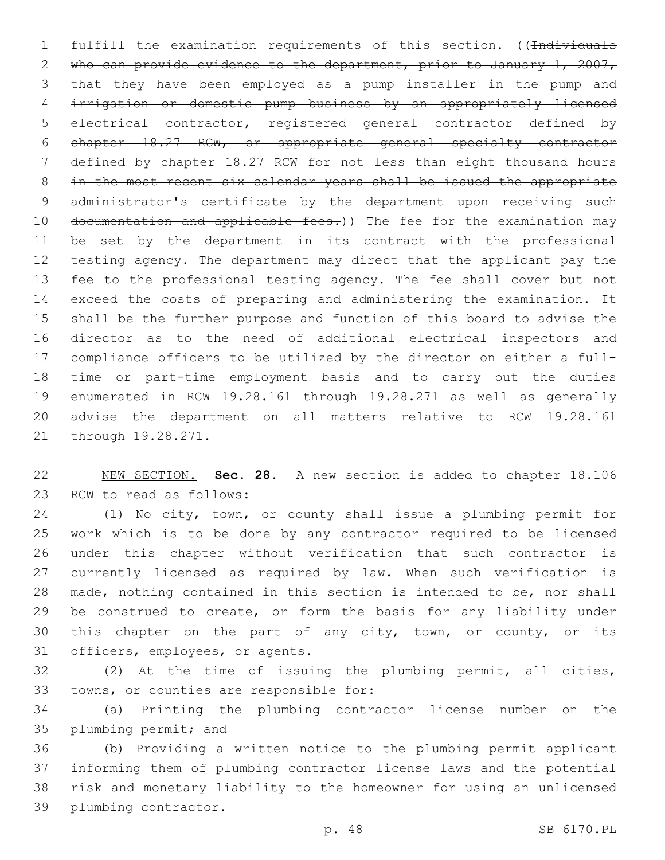1 fulfill the examination requirements of this section. ((Individuals 2 who can provide evidence to the department, prior to January 1, 2007, that they have been employed as a pump installer in the pump and irrigation or domestic pump business by an appropriately licensed electrical contractor, registered general contractor defined by chapter 18.27 RCW, or appropriate general specialty contractor defined by chapter 18.27 RCW for not less than eight thousand hours in the most recent six calendar years shall be issued the appropriate 9 administrator's certificate by the department upon receiving such 10 documentation and applicable fees.)) The fee for the examination may be set by the department in its contract with the professional testing agency. The department may direct that the applicant pay the fee to the professional testing agency. The fee shall cover but not exceed the costs of preparing and administering the examination. It shall be the further purpose and function of this board to advise the director as to the need of additional electrical inspectors and compliance officers to be utilized by the director on either a full- time or part-time employment basis and to carry out the duties enumerated in RCW 19.28.161 through 19.28.271 as well as generally advise the department on all matters relative to RCW 19.28.161 21 through 19.28.271.

 NEW SECTION. **Sec. 28.** A new section is added to chapter 18.106 23 RCW to read as follows:

 (1) No city, town, or county shall issue a plumbing permit for work which is to be done by any contractor required to be licensed under this chapter without verification that such contractor is currently licensed as required by law. When such verification is made, nothing contained in this section is intended to be, nor shall 29 be construed to create, or form the basis for any liability under this chapter on the part of any city, town, or county, or its 31 officers, employees, or agents.

 (2) At the time of issuing the plumbing permit, all cities, 33 towns, or counties are responsible for:

 (a) Printing the plumbing contractor license number on the 35 plumbing permit; and

 (b) Providing a written notice to the plumbing permit applicant informing them of plumbing contractor license laws and the potential risk and monetary liability to the homeowner for using an unlicensed 39 plumbing contractor.